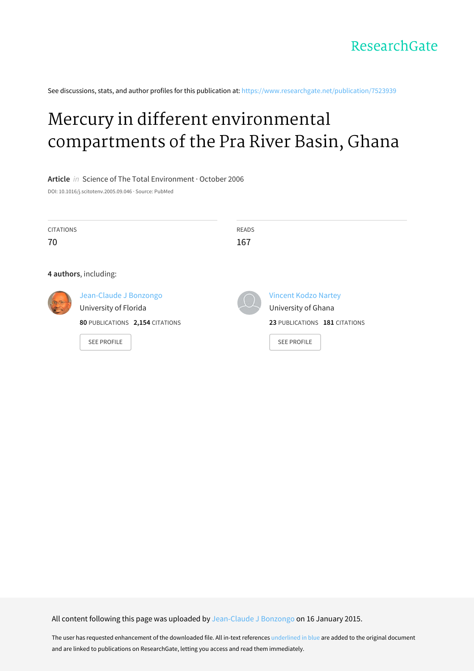See discussions, stats, and author profiles for this publication at: [https://www.researchgate.net/publication/7523939](https://www.researchgate.net/publication/7523939_Mercury_in_different_environmental_compartments_of_the_Pra_River_Basin_Ghana?enrichId=rgreq-d2a5cd0d3451b477a4744498d9189409-XXX&enrichSource=Y292ZXJQYWdlOzc1MjM5Mzk7QVM6MTg2MzQ1NDIzMTIyNDMzQDE0MjE0Mzk2MTkxMzM%3D&el=1_x_2&_esc=publicationCoverPdf)

# Mercury in different [environmental](https://www.researchgate.net/publication/7523939_Mercury_in_different_environmental_compartments_of_the_Pra_River_Basin_Ghana?enrichId=rgreq-d2a5cd0d3451b477a4744498d9189409-XXX&enrichSource=Y292ZXJQYWdlOzc1MjM5Mzk7QVM6MTg2MzQ1NDIzMTIyNDMzQDE0MjE0Mzk2MTkxMzM%3D&el=1_x_3&_esc=publicationCoverPdf) compartments of the Pra River Basin, Ghana

**Article** in Science of The Total Environment · October 2006

DOI: 10.1016/j.scitotenv.2005.09.046 · Source: PubMed

| <b>CITATIONS</b> |                                 | <b>READS</b> |                               |
|------------------|---------------------------------|--------------|-------------------------------|
| 70               |                                 | 167          |                               |
|                  |                                 |              |                               |
|                  | 4 authors, including:           |              |                               |
|                  | Jean-Claude J Bonzongo          |              | <b>Vincent Kodzo Nartey</b>   |
|                  | University of Florida           |              | University of Ghana           |
|                  | 80 PUBLICATIONS 2,154 CITATIONS |              | 23 PUBLICATIONS 181 CITATIONS |
|                  | <b>SEE PROFILE</b>              |              | <b>SEE PROFILE</b>            |
|                  |                                 |              |                               |

All content following this page was uploaded by [Jean-Claude](https://www.researchgate.net/profile/Jean-Claude_Bonzongo?enrichId=rgreq-d2a5cd0d3451b477a4744498d9189409-XXX&enrichSource=Y292ZXJQYWdlOzc1MjM5Mzk7QVM6MTg2MzQ1NDIzMTIyNDMzQDE0MjE0Mzk2MTkxMzM%3D&el=1_x_10&_esc=publicationCoverPdf) J Bonzongo on 16 January 2015.

The user has requested enhancement of the downloaded file. All in-text references underlined in blue are added to the original document and are linked to publications on ResearchGate, letting you access and read them immediately.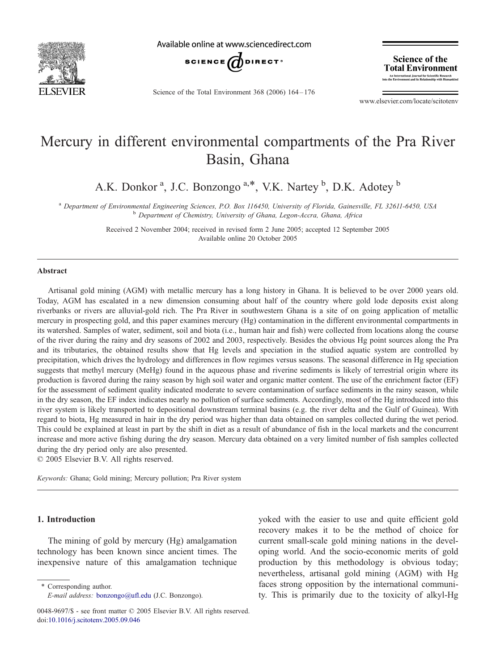

Available online at www.sciencedirect.com



Science of the Total Environment 368 (2006) 164-176

**Science of the Total Environment** An International Journal for Scientific Research<br>Into the Environment and its Relationship with Humankine

www.elsevier.com/locate/scitotenv

# Mercury in different environmental compartments of the Pra River Basin, Ghana

A.K. Donkor<sup>a</sup>, J.C. Bonzongo<sup>a,\*</sup>, V.K. Nartey<sup>b</sup>, D.K. Adotey<sup>b</sup>

<sup>a</sup> Department of Environmental Engineering Sciences, P.O. Box 116450, University of Florida, Gainesville, FL 32611-6450, USA b Department of Chemistry, University of Ghana, Legon-Accra, Ghana, Africa

Received 2 November 2004; received in revised form 2 June 2005; accepted 12 September 2005 Available online 20 October 2005

#### Abstract

Artisanal gold mining (AGM) with metallic mercury has a long history in Ghana. It is believed to be over 2000 years old. Today, AGM has escalated in a new dimension consuming about half of the country where gold lode deposits exist along riverbanks or rivers are alluvial-gold rich. The Pra River in southwestern Ghana is a site of on going application of metallic mercury in prospecting gold, and this paper examines mercury (Hg) contamination in the different environmental compartments in its watershed. Samples of water, sediment, soil and biota (i.e., human hair and fish) were collected from locations along the course of the river during the rainy and dry seasons of 2002 and 2003, respectively. Besides the obvious Hg point sources along the Pra and its tributaries, the obtained results show that Hg levels and speciation in the studied aquatic system are controlled by precipitation, which drives the hydrology and differences in flow regimes versus seasons. The seasonal difference in Hg speciation suggests that methyl mercury (MeHg) found in the aqueous phase and riverine sediments is likely of terrestrial origin where its production is favored during the rainy season by high soil water and organic matter content. The use of the enrichment factor (EF) for the assessment of sediment quality indicated moderate to severe contamination of surface sediments in the rainy season, while in the dry season, the EF index indicates nearly no pollution of surface sediments. Accordingly, most of the Hg introduced into this river system is likely transported to depositional downstream terminal basins (e.g. the river delta and the Gulf of Guinea). With regard to biota, Hg measured in hair in the dry period was higher than data obtained on samples collected during the wet period. This could be explained at least in part by the shift in diet as a result of abundance of fish in the local markets and the concurrent increase and more active fishing during the dry season. Mercury data obtained on a very limited number of fish samples collected during the dry period only are also presented.

 $© 2005 Elsevier B.V. All rights reserved.$ 

Keywords: Ghana; Gold mining; Mercury pollution; Pra River system

# 1. Introduction

The mining of gold by mercury (Hg) amalgamation technology has been known since ancient times. The inexpensive nature of this amalgamation technique

\* Corresponding author. E-mail address: [bonzongo@ufl.edu](mailto:bonzongo@ufl.edu) (J.C. Bonzongo).

0048-9697/\$ - see front matter © 2005 Elsevier B.V. All rights reserved. doi:[10.1016/j.scitotenv.2005.09.046](http://dx.doi.org/10.1016/j.scitotenv.2005.09.046)

yoked with the easier to use and quite efficient gold recovery makes it to be the method of choice for current small-scale gold mining nations in the developing world. And the socio-economic merits of gold production by this methodology is obvious today; nevertheless, artisanal gold mining (AGM) with Hg faces strong opposition by the international community. This is primarily due to the toxicity of alkyl-Hg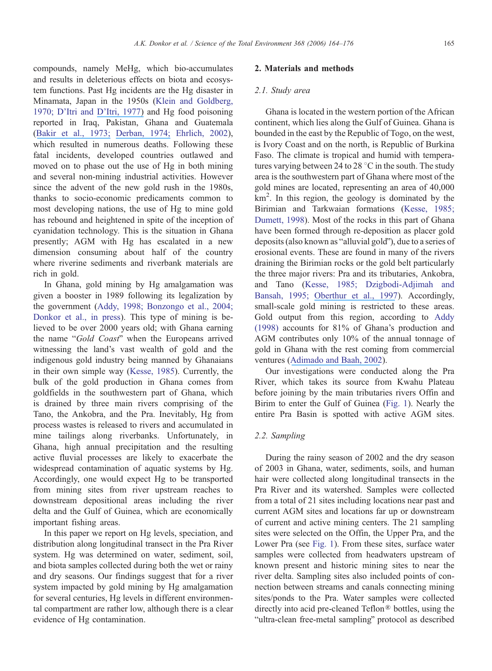compounds, namely MeHg, which bio-accumulates and results in deleterious effects on biota and ecosystem functions. Past Hg incidents are the Hg disaster in Minamata, Japan in the 1950s ([Klein and Goldberg,](#page-12-0) 1970; D'Itri and [D'Itri, 1977\)](https://www.researchgate.net/publication/236419740_Mercury_contamination_a_human_tragedy?el=1_x_8&enrichId=rgreq-d2a5cd0d3451b477a4744498d9189409-XXX&enrichSource=Y292ZXJQYWdlOzc1MjM5Mzk7QVM6MTg2MzQ1NDIzMTIyNDMzQDE0MjE0Mzk2MTkxMzM=) and Hg food poisoning reported in Iraq, Pakistan, Ghana and Guatemala ([Bakir et al., 1973;](https://www.researchgate.net/publication/18449547_Methylmercury_Poisoning_in_Iraq?el=1_x_8&enrichId=rgreq-d2a5cd0d3451b477a4744498d9189409-XXX&enrichSource=Y292ZXJQYWdlOzc1MjM5Mzk7QVM6MTg2MzQ1NDIzMTIyNDMzQDE0MjE0Mzk2MTkxMzM=) [Derban, 1974;](https://www.researchgate.net/publication/18580544_Outbreak_of_food_poisoning_due_to_alkyl_mercury_fungicide_On_southern_Ghana_state_farm?el=1_x_8&enrichId=rgreq-d2a5cd0d3451b477a4744498d9189409-XXX&enrichSource=Y292ZXJQYWdlOzc1MjM5Mzk7QVM6MTg2MzQ1NDIzMTIyNDMzQDE0MjE0Mzk2MTkxMzM=) [Ehrlich, 2002\),](#page-11-0) which resulted in numerous deaths. Following these fatal incidents, developed countries outlawed and moved on to phase out the use of Hg in both mining and several non-mining industrial activities. However since the advent of the new gold rush in the 1980s, thanks to socio-economic predicaments common to most developing nations, the use of Hg to mine gold has rebound and heightened in spite of the inception of cyanidation technology. This is the situation in Ghana presently; AGM with Hg has escalated in a new dimension consuming about half of the country where riverine sediments and riverbank materials are rich in gold.

In Ghana, gold mining by Hg amalgamation was given a booster in 1989 following its legalization by the government ([Addy, 1998; Bonzongo et al., 2004;](#page-11-0) Donkor et al., in press). This type of mining is believed to be over 2000 years old; with Ghana earning the name "Gold Coast" when the Europeans arrived witnessing the land's vast wealth of gold and the indigenous gold industry being manned by Ghanaians in their own simple way ([Kesse, 1985\).](#page-12-0) Currently, the bulk of the gold production in Ghana comes from goldfields in the southwestern part of Ghana, which is drained by three main rivers comprising of the Tano, the Ankobra, and the Pra. Inevitably, Hg from process wastes is released to rivers and accumulated in mine tailings along riverbanks. Unfortunately, in Ghana, high annual precipitation and the resulting active fluvial processes are likely to exacerbate the widespread contamination of aquatic systems by Hg. Accordingly, one would expect Hg to be transported from mining sites from river upstream reaches to downstream depositional areas including the river delta and the Gulf of Guinea, which are economically important fishing areas.

In this paper we report on Hg levels, speciation, and distribution along longitudinal transect in the Pra River system. Hg was determined on water, sediment, soil, and biota samples collected during both the wet or rainy and dry seasons. Our findings suggest that for a river system impacted by gold mining by Hg amalgamation for several centuries, Hg levels in different environmental compartment are rather low, although there is a clear evidence of Hg contamination.

#### 2. Materials and methods

#### 2.1. Study area

Ghana is located in the western portion of the African continent, which lies along the Gulf of Guinea. Ghana is bounded in the east by the Republic of Togo, on the west, is Ivory Coast and on the north, is Republic of Burkina Faso. The climate is tropical and humid with temperatures varying between 24 to 28  $^{\circ}$ C in the south. The study area is the southwestern part of Ghana where most of the gold mines are located, representing an area of 40,000 km<sup>2</sup> . In this region, the geology is dominated by the Birimian and Tarkwaian formations ([Kesse, 1985](#page-12-0); Dumett, 1998). Most of the rocks in this part of Ghana have been formed through re-deposition as placer gold deposits (also known as "alluvial gold"), due to a series of erosional events. These are found in many of the rivers draining the Birimian rocks or the gold belt particularly the three major rivers: Pra and its tributaries, Ankobra, and Tano ([Kesse, 1985; Dzigbodi-Adjimah and](#page-12-0) Bansah, 1995; [Oberthur et al., 1997](https://www.researchgate.net/publication/225624693_Mineralogical_siting_and_distribution_of_gold_in_quartz_veins_and_sulfide_ores_of_the_Ashanti_mine_and_other_deposits_in_the_Ashanti_belt_of_Ghana_Genetic_implications?el=1_x_8&enrichId=rgreq-d2a5cd0d3451b477a4744498d9189409-XXX&enrichSource=Y292ZXJQYWdlOzc1MjM5Mzk7QVM6MTg2MzQ1NDIzMTIyNDMzQDE0MjE0Mzk2MTkxMzM=)). Accordingly, small-scale gold mining is restricted to these areas. Gold output from this region, according to [Addy](#page-11-0) (1998) accounts for 81% of Ghana's production and AGM contributes only 10% of the annual tonnage of gold in Ghana with the rest coming from commercial ventures ([Adimado and Baah, 2002\)](#page-11-0).

Our investigations were conducted along the Pra River, which takes its source from Kwahu Plateau before joining by the main tributaries rivers Offin and Birim to enter the Gulf of Guinea ([Fig. 1\)](#page-3-0). Nearly the entire Pra Basin is spotted with active AGM sites.

## 2.2. Sampling

During the rainy season of 2002 and the dry season of 2003 in Ghana, water, sediments, soils, and human hair were collected along longitudinal transects in the Pra River and its watershed. Samples were collected from a total of 21 sites including locations near past and current AGM sites and locations far up or downstream of current and active mining centers. The 21 sampling sites were selected on the Offin, the Upper Pra, and the Lower Pra (see [Fig. 1\)](#page-3-0). From these sites, surface water samples were collected from headwaters upstream of known present and historic mining sites to near the river delta. Sampling sites also included points of connection between streams and canals connecting mining sites/ponds to the Pra. Water samples were collected directly into acid pre-cleaned Teflon<sup>®</sup> bottles, using the "ultra-clean free-metal sampling" protocol as described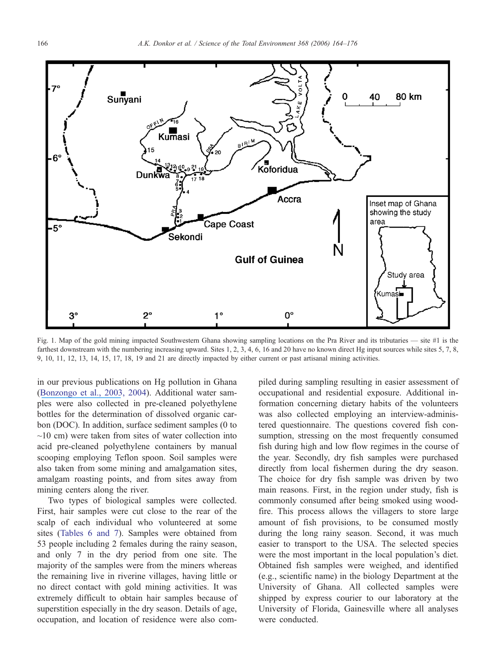<span id="page-3-0"></span>

Fig. 1. Map of the gold mining impacted Southwestern Ghana showing sampling locations on the Pra River and its tributaries — site #1 is the farthest downstream with the numbering increasing upward. Sites 1, 2, 3, 4, 6, 16 and 20 have no known direct Hg input sources while sites 5, 7, 8, 9, 10, 11, 12, 13, 14, 15, 17, 18, 19 and 21 are directly impacted by either current or past artisanal mining activities.

in our previous publications on Hg pollution in Ghana ([Bonzongo et al., 200](https://www.researchgate.net/publication/253120479_Environmental_impacts_of_mercury_related_to_artisanal_gold_mining_in_Ghana?el=1_x_8&enrichId=rgreq-d2a5cd0d3451b477a4744498d9189409-XXX&enrichSource=Y292ZXJQYWdlOzc1MjM5Mzk7QVM6MTg2MzQ1NDIzMTIyNDMzQDE0MjE0Mzk2MTkxMzM=)[3, 2004\).](#page-12-0) Additional water samples were also collected in pre-cleaned polyethylene bottles for the determination of dissolved organic carbon (DOC). In addition, surface sediment samples (0 to  $\sim$ 10 cm) were taken from sites of water collection into acid pre-cleaned polyethylene containers by manual scooping employing Teflon spoon. Soil samples were also taken from some mining and amalgamation sites, amalgam roasting points, and from sites away from mining centers along the river.

Two types of biological samples were collected. First, hair samples were cut close to the rear of the scalp of each individual who volunteered at some sites (T[ables 6 and 7\).](#page-10-0) Samples were obtained from 53 people including 2 females during the rainy season, and only 7 in the dry period from one site. The majority of the samples were from the miners whereas the remaining live in riverine villages, having little or no direct contact with gold mining activities. It was extremely difficult to obtain hair samples because of superstition especially in the dry season. Details of age, occupation, and location of residence were also compiled during sampling resulting in easier assessment of occupational and residential exposure. Additional information concerning dietary habits of the volunteers was also collected employing an interview-administered questionnaire. The questions covered fish consumption, stressing on the most frequently consumed fish during high and low flow regimes in the course of the year. Secondly, dry fish samples were purchased directly from local fishermen during the dry season. The choice for dry fish sample was driven by two main reasons. First, in the region under study, fish is commonly consumed after being smoked using woodfire. This process allows the villagers to store large amount of fish provisions, to be consumed mostly during the long rainy season. Second, it was much easier to transport to the USA. The selected species were the most important in the local population's diet. Obtained fish samples were weighed, and identified (e.g., scientific name) in the biology Department at the University of Ghana. All collected samples were shipped by express courier to our laboratory at the University of Florida, Gainesville where all analyses were conducted.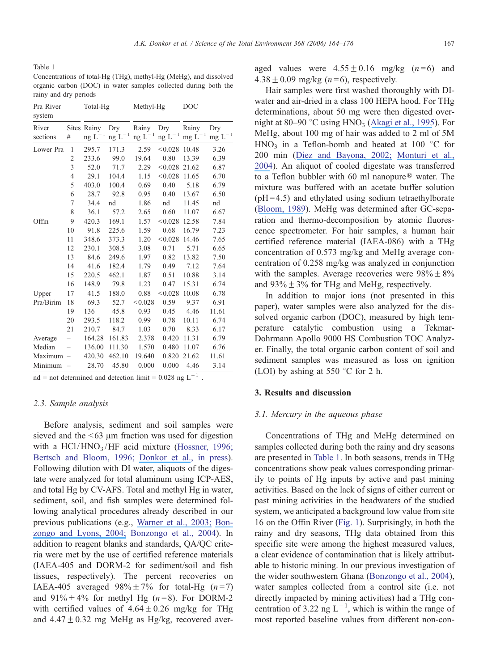<span id="page-4-0"></span>Concentrations of total-Hg (THg), methyl-Hg (MeHg), and dissolved organic carbon (DOC) in water samples collected during both the rainy and dry periods

| Pra River<br>system |                          | Total-Hg    |                 | Methyl-Hg   |             | <b>DOC</b>      |             |
|---------------------|--------------------------|-------------|-----------------|-------------|-------------|-----------------|-------------|
| River               |                          | Sites Rainy | Dry             | Rainy       | Dry         | Rainy           | Dry         |
| sections            | #                        | $ng L^{-1}$ | ng $\rm L^{-1}$ | ng $L^{-1}$ | $ng L^{-1}$ | mg $\rm L^{-1}$ | $mg L^{-1}$ |
| Lower Pra           | $\mathbf{1}$             | 295.7       | 171.3           | 2.59        | < 0.028     | 10.48           | 3.26        |
|                     | $\overline{c}$           | 233.6       | 99.0            | 19.64       | 0.80        | 13.39           | 6.39        |
|                     | $\overline{3}$           | 52.0        | 71.7            | 2.29        | < 0.028     | 21.62           | 6.87        |
|                     | $\overline{4}$           | 29.1        | 104.4           | 1.15        | < 0.028     | 11.65           | 6.70        |
|                     | 5                        | 403.0       | 100.4           | 0.69        | 0.40        | 5.18            | 6.79        |
|                     | 6                        | 28.7        | 92.8            | 0.95        | 0.40        | 13.67           | 6.50        |
|                     | 7                        | 34.4        | nd              | 1.86        | nd          | 11.45           | nd          |
|                     | 8                        | 36.1        | 57.2            | 2.65        | 0.60        | 11.07           | 6.67        |
| Offin               | 9                        | 420.3       | 169.1           | 1.57        | < 0.028     | 12.58           | 7.84        |
|                     | 10                       | 91.8        | 225.6           | 1.59        | 0.68        | 16.79           | 7.23        |
|                     | 11                       | 348.6       | 373.3           | 1.20        | < 0.028     | 14.46           | 7.65        |
|                     | 12                       | 230.1       | 308.5           | 3.08        | 0.71        | 5.71            | 6.65        |
|                     | 13                       | 84.6        | 249.6           | 1.97        | 0.82        | 13.82           | 7.50        |
|                     | 14                       | 41.6        | 182.4           | 1.79        | 0.49        | 7.12            | 7.64        |
|                     | 15                       | 220.5       | 462.1           | 1.87        | 0.51        | 10.88           | 3.14        |
|                     | 16                       | 148.9       | 79.8            | 1.23        | 0.47        | 15.31           | 6.74        |
| Upper               | 17                       | 41.5        | 188.0           | 0.88        | < 0.028     | 10.08           | 6.78        |
| Pra/Birim           | 18                       | 69.3        | 52.7            | < 0.028     | 0.59        | 9.37            | 6.91        |
|                     | 19                       | 136         | 45.8            | 0.93        | 0.45        | 4.46            | 11.61       |
|                     | 20                       | 293.5       | 118.2           | 0.99        | 0.78        | 10.11           | 6.74        |
|                     | 21                       | 210.7       | 84.7            | 1.03        | 0.70        | 8.33            | 6.17        |
| Average             |                          | 164.28      | 161.83          | 2.378       | 0.420       | 11.31           | 6.79        |
| Median              |                          | 136.00      | 111.30          | 1.570       | 0.480       | 11.07           | 6.76        |
| Maximum             | $\overline{\phantom{a}}$ | 420.30      | 462.10          | 19.640      | 0.820       | 21.62           | 11.61       |
| Minimum             |                          | 28.70       | 45.80           | 0.000       | 0.000       | 4.46            | 3.14        |

nd = not determined and detection limit =  $0.028$  ng L<sup>-1</sup>.

#### 2.3. Sample analysis

Before analysis, sediment and soil samples were sieved and the  $\leq 63$  µm fraction was used for digestion with a HCl/ $HNO<sub>3</sub>/HF$  acid mixture ([Hossner, 1996;](#page-12-0) Bertsch and Bloom, 1996; [Donkor et al.](https://www.researchgate.net/publication/232820133_Heavy_Metals_in_Sediments_of_the_Gold_Mining_Impacted_Pra_River_Basin_Ghana_West_Africa?el=1_x_8&enrichId=rgreq-d2a5cd0d3451b477a4744498d9189409-XXX&enrichSource=Y292ZXJQYWdlOzc1MjM5Mzk7QVM6MTg2MzQ1NDIzMTIyNDMzQDE0MjE0Mzk2MTkxMzM=), in press). Following dilution with DI water, aliquots of the digestate were analyzed for total aluminum using ICP-AES, and total Hg by CV-AFS. Total and methyl Hg in water, sediment, soil, and fish samples were determined following analytical procedures already described in our previous publications (e.g., [W](https://www.researchgate.net/publication/10725610_Microbial_Mercury_Transformation_in_Anoxic_Freshwater_Sediments_under_Iron-Reducing_and_Other_Electron-Accepting_Conditions?el=1_x_8&enrichId=rgreq-d2a5cd0d3451b477a4744498d9189409-XXX&enrichSource=Y292ZXJQYWdlOzc1MjM5Mzk7QVM6MTg2MzQ1NDIzMTIyNDMzQDE0MjE0Mzk2MTkxMzM=)[arner et al., 2003; Bon](#page-13-0)[zongo and Lyons, 2004;](https://www.researchgate.net/publication/8328078_Impact_of_Land_Use_and_Physicochemical_Settings_on_Aqueous_Methylmercury_Levels_in_the_Mobile-Alabama_River_System?el=1_x_8&enrichId=rgreq-d2a5cd0d3451b477a4744498d9189409-XXX&enrichSource=Y292ZXJQYWdlOzc1MjM5Mzk7QVM6MTg2MzQ1NDIzMTIyNDMzQDE0MjE0Mzk2MTkxMzM=) Bonzongo et al., 2004). In addition to reagent blanks and standards, QA/QC criteria were met by the use of certified reference materials (IAEA-405 and DORM-2 for sediment/soil and fish tissues, respectively). The percent recoveries on IAEA-405 averaged  $98\% \pm 7\%$  for total-Hg  $(n=7)$ and  $91\% \pm 4\%$  for methyl Hg (n=8). For DORM-2 with certified values of  $4.64 \pm 0.26$  mg/kg for THg and  $4.47 \pm 0.32$  mg MeHg as Hg/kg, recovered averaged values were  $4.55 \pm 0.16$  mg/kg  $(n=6)$  and  $4.38 \pm 0.09$  mg/kg (n=6), respectively.

Hair samples were first washed thoroughly with DIwater and air-dried in a class 100 HEPA hood. For THg determinations, about 50 mg were then digested overnight at 80–90 °C using  $HNO<sub>3</sub>$  ([A](#page-11-0)[kagi et al., 199](https://www.researchgate.net/publication/222494247_Methylmercury_pollution_in_the_Amazon_Brazil?el=1_x_8&enrichId=rgreq-d2a5cd0d3451b477a4744498d9189409-XXX&enrichSource=Y292ZXJQYWdlOzc1MjM5Mzk7QVM6MTg2MzQ1NDIzMTIyNDMzQDE0MjE0Mzk2MTkxMzM=)[5\)](#page-11-0). For MeHg, about 100 mg of hair was added to 2 ml of 5M HNO<sub>3</sub> in a Teflon-bomb and heated at 100  $\degree$ C for 200 min ([D](#page-12-0)[iez and Bayona, 2002;](https://www.researchgate.net/publication/11199604_Determination_of_methylmercury_in_human_hair_by_ethylation_followed_by_headspace_solid-phase_microextraction-gas_chromatography-cold-vapour_atomic_fluorescence_spectrometry?el=1_x_8&enrichId=rgreq-d2a5cd0d3451b477a4744498d9189409-XXX&enrichSource=Y292ZXJQYWdlOzc1MjM5Mzk7QVM6MTg2MzQ1NDIzMTIyNDMzQDE0MjE0Mzk2MTkxMzM=)[Monturi et al.,](https://www.researchgate.net/publication/8893547_Improvements_in_the_methylmercury_extraction_from_human_hair_by_headspace_solid-phase_microextraction_followed_by_gas-chromatography_cold-vapour_atomic_fluorescence_spectrometry?el=1_x_8&enrichId=rgreq-d2a5cd0d3451b477a4744498d9189409-XXX&enrichSource=Y292ZXJQYWdlOzc1MjM5Mzk7QVM6MTg2MzQ1NDIzMTIyNDMzQDE0MjE0Mzk2MTkxMzM=) [2004](https://www.researchgate.net/publication/8893547_Improvements_in_the_methylmercury_extraction_from_human_hair_by_headspace_solid-phase_microextraction_followed_by_gas-chromatography_cold-vapour_atomic_fluorescence_spectrometry?el=1_x_8&enrichId=rgreq-d2a5cd0d3451b477a4744498d9189409-XXX&enrichSource=Y292ZXJQYWdlOzc1MjM5Mzk7QVM6MTg2MzQ1NDIzMTIyNDMzQDE0MjE0Mzk2MTkxMzM=)). An aliquot of cooled digestate was transferred to a Teflon bubbler with 60 ml nanopure<sup>®</sup> water. The mixture was buffered with an acetate buffer solution  $(pH = 4.5)$  and ethylated using sodium tetraethylborate ([B](#page-11-0)[loom, 198](https://www.researchgate.net/publication/249531026_Determination_of_Picogram_Levels_of_Methylmercury_by_Aqueous_Phase_Ethylation_Followed_by_Cryogenic_Gas_Chromatography_with_Cold_Vapour_Atomic_Fluorescence_Detection?el=1_x_8&enrichId=rgreq-d2a5cd0d3451b477a4744498d9189409-XXX&enrichSource=Y292ZXJQYWdlOzc1MjM5Mzk7QVM6MTg2MzQ1NDIzMTIyNDMzQDE0MjE0Mzk2MTkxMzM=)[9\)](#page-11-0). MeHg was determined after GC-separation and thermo-decomposition by atomic fluorescence spectrometer. For hair samples, a human hair certified reference material (IAEA-086) with a THg concentration of 0.573 mg/kg and MeHg average concentration of 0.258 mg/kg was analyzed in conjunction with the samples. Average recoveries were  $98\% \pm 8\%$ and  $93\% \pm 3\%$  for THg and MeHg, respectively.

In addition to major ions (not presented in this paper), water samples were also analyzed for the dissolved organic carbon (DOC), measured by high temperature catalytic combustion using a Tekmar-Dohrmann Apollo 9000 HS Combustion TOC Analyzer. Finally, the total organic carbon content of soil and sediment samples was measured as loss on ignition (LOI) by ashing at 550  $\degree$ C for 2 h.

# 3. Results and discussion

#### 3.1. Mercury in the aqueous phase

Concentrations of THg and MeHg determined on samples collected during both the rainy and dry seasons are presented in Table 1. In both seasons, trends in THg concentrations show peak values corresponding primarily to points of Hg inputs by active and past mining activities. Based on the lack of signs of either current or past mining activities in the headwaters of the studied system, we anticipated a background low value from site 16 on the Offin River ([Fig. 1\)](#page-3-0). Surprisingly, in both the rainy and dry seasons, THg data obtained from this specific site were among the highest measured values, a clear evidence of contamination that is likely attributable to historic mining. In our previous investigation of the wider southwestern Ghana ([Bonzongo et al., 2004\)](#page-12-0), water samples collected from a control site (i.e. not directly impacted by mining activities) had a THg concentration of 3.22 ng  $L^{-1}$ , which is within the range of most reported baseline values from different non-con-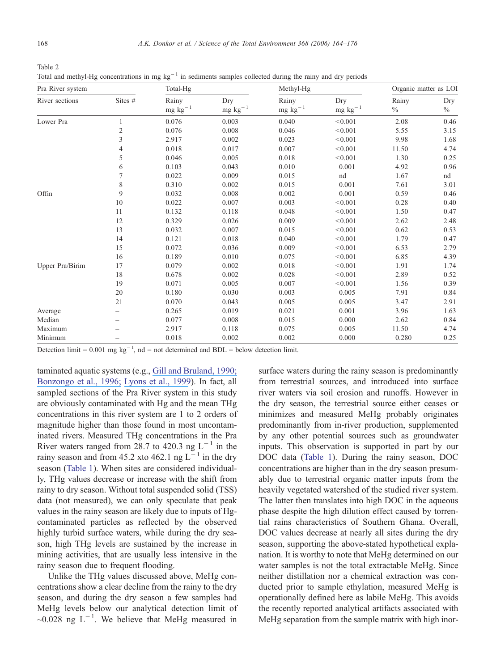<span id="page-5-0"></span>

| Table 2 |                                                                                                                    |
|---------|--------------------------------------------------------------------------------------------------------------------|
|         | Total and methyl-Hg concentrations in mg $kg^{-1}$ in sediments samples collected during the rainy and dry periods |

| Pra River system |                | Total-Hg                      |                             | Methyl-Hg                     |                      | Organic matter as LOI |             |
|------------------|----------------|-------------------------------|-----------------------------|-------------------------------|----------------------|-----------------------|-------------|
| River sections   | Sites #        | Rainy<br>$mg \text{ kg}^{-1}$ | Dry<br>$mg \text{ kg}^{-1}$ | Rainy<br>$mg \text{ kg}^{-1}$ | Dry<br>$mg\ kg^{-1}$ | Rainy<br>$\%$         | Dry<br>$\%$ |
| Lower Pra        |                | 0.076                         | 0.003                       | 0.040                         | < 0.001              | 2.08                  | 0.46        |
|                  | $\overline{c}$ | 0.076                         | 0.008                       | 0.046                         | < 0.001              | 5.55                  | 3.15        |
|                  | 3              | 2.917                         | 0.002                       | 0.023                         | < 0.001              | 9.98                  | 1.68        |
|                  | 4              | 0.018                         | 0.017                       | 0.007                         | < 0.001              | 11.50                 | 4.74        |
|                  | 5              | 0.046                         | 0.005                       | 0.018                         | < 0.001              | 1.30                  | 0.25        |
|                  | 6              | 0.103                         | 0.043                       | 0.010                         | 0.001                | 4.92                  | 0.96        |
|                  | 7              | 0.022                         | 0.009                       | 0.015                         | nd                   | 1.67                  | nd          |
|                  | 8              | 0.310                         | 0.002                       | 0.015                         | 0.001                | 7.61                  | 3.01        |
| Offin            | 9              | 0.032                         | 0.008                       | 0.002                         | 0.001                | 0.59                  | 0.46        |
|                  | 10             | 0.022                         | 0.007                       | 0.003                         | < 0.001              | 0.28                  | 0.40        |
|                  | 11             | 0.132                         | 0.118                       | 0.048                         | < 0.001              | 1.50                  | 0.47        |
|                  | 12             | 0.329                         | 0.026                       | 0.009                         | < 0.001              | 2.62                  | 2.48        |
|                  | 13             | 0.032                         | 0.007                       | 0.015                         | < 0.001              | 0.62                  | 0.53        |
|                  | 14             | 0.121                         | 0.018                       | 0.040                         | < 0.001              | 1.79                  | 0.47        |
|                  | 15             | 0.072                         | 0.036                       | 0.009                         | < 0.001              | 6.53                  | 2.79        |
|                  | 16             | 0.189                         | 0.010                       | 0.075                         | < 0.001              | 6.85                  | 4.39        |
| Upper Pra/Birim  | 17             | 0.079                         | 0.002                       | 0.018                         | < 0.001              | 1.91                  | 1.74        |
|                  | 18             | 0.678                         | 0.002                       | 0.028                         | < 0.001              | 2.89                  | 0.52        |
|                  | 19             | 0.071                         | 0.005                       | 0.007                         | < 0.001              | 1.56                  | 0.39        |
|                  | 20             | 0.180                         | 0.030                       | 0.003                         | 0.005                | 7.91                  | 0.84        |
|                  | 21             | 0.070                         | 0.043                       | 0.005                         | 0.005                | 3.47                  | 2.91        |
| Average          |                | 0.265                         | 0.019                       | 0.021                         | 0.001                | 3.96                  | 1.63        |
| Median           |                | 0.077                         | 0.008                       | 0.015                         | 0.000                | 2.62                  | 0.84        |
| Maximum          |                | 2.917                         | 0.118                       | 0.075                         | 0.005                | 11.50                 | 4.74        |
| Minimum          |                | 0.018                         | 0.002                       | 0.002                         | 0.000                | 0.280                 | 0.25        |

Detection limit =  $0.001$  mg kg<sup>-1</sup>, nd = not determined and BDL = below detection limit.

taminated aquatic systems (e.g., [Gill and Bruland, 1990](https://www.researchgate.net/publication/231276870_Mercury_Speciation_in_Surface_Freshwater_Systems_in_California_and_Other_Areas?el=1_x_8&enrichId=rgreq-d2a5cd0d3451b477a4744498d9189409-XXX&enrichSource=Y292ZXJQYWdlOzc1MjM5Mzk7QVM6MTg2MzQ1NDIzMTIyNDMzQDE0MjE0Mzk2MTkxMzM=)[;](#page-12-0) [Bonzongo et al., 1996;](https://www.researchgate.net/publication/238501075_Mercury_concentrations_in_waters_of_Lake_Naivasha_Watershed_Kenya?el=1_x_8&enrichId=rgreq-d2a5cd0d3451b477a4744498d9189409-XXX&enrichSource=Y292ZXJQYWdlOzc1MjM5Mzk7QVM6MTg2MzQ1NDIzMTIyNDMzQDE0MjE0Mzk2MTkxMzM=) [Lyons et al., 1999](https://www.researchgate.net/publication/240490363_Mercury_in_aquatic_systems_in_Antarctica?el=1_x_8&enrichId=rgreq-d2a5cd0d3451b477a4744498d9189409-XXX&enrichSource=Y292ZXJQYWdlOzc1MjM5Mzk7QVM6MTg2MzQ1NDIzMTIyNDMzQDE0MjE0Mzk2MTkxMzM=)). In fact, all sampled sections of the Pra River system in this study are obviously contaminated with Hg and the mean THg concentrations in this river system are 1 to 2 orders of magnitude higher than those found in most uncontaminated rivers. Measured THg concentrations in the Pra River waters ranged from 28.7 to 420.3 ng  $L^{-1}$  in the rainy season and from 45.2 xto 462.1 ng  $L^{-1}$  in the dry season (T[able 1\).](#page-4-0) When sites are considered individually, THg values decrease or increase with the shift from rainy to dry season. Without total suspended solid (TSS) data (not measured), we can only speculate that peak values in the rainy season are likely due to inputs of Hgcontaminated particles as reflected by the observed highly turbid surface waters, while during the dry season, high THg levels are sustained by the increase in mining activities, that are usually less intensive in the rainy season due to frequent flooding.

Unlike the THg values discussed above, MeHg concentrations show a clear decline from the rainy to the dry season, and during the dry season a few samples had MeHg levels below our analytical detection limit of  $\sim$ 0.028 ng L<sup>-1</sup>. We believe that MeHg measured in

surface waters during the rainy season is predominantly from terrestrial sources, and introduced into surface river waters via soil erosion and runoffs. However in the dry season, the terrestrial source either ceases or minimizes and measured MeHg probably originates predominantly from in-river production, supplemented by any other potential sources such as groundwater inputs. This observation is supported in part by our DOC data ([Table 1\)](#page-4-0). During the rainy season, DOC concentrations are higher than in the dry season presumably due to terrestrial organic matter inputs from the heavily vegetated watershed of the studied river system. The latter then translates into high DOC in the aqueous phase despite the high dilution effect caused by torrential rains characteristics of Southern Ghana. Overall, DOC values decrease at nearly all sites during the dry season, supporting the above-stated hypothetical explanation. It is worthy to note that MeHg determined on our water samples is not the total extractable MeHg. Since neither distillation nor a chemical extraction was conducted prior to sample ethylation, measured MeHg is operationally defined here as labile MeHg. This avoids the recently reported analytical artifacts associated with MeHg separation from the sample matrix with high inor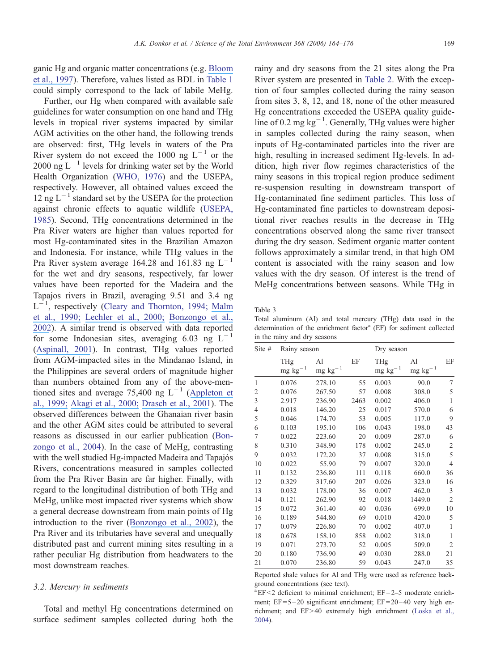<span id="page-6-0"></span>ganic Hg and organic matter concentrations (e.g. [Bloom](https://www.researchgate.net/publication/225444039_Artifact_formation_of_methyl_mercury_during_aqueous_distillation_and_alternative_techniques_for_the_extraction_of_methyl_mercury_from_environmental_samples?el=1_x_8&enrichId=rgreq-d2a5cd0d3451b477a4744498d9189409-XXX&enrichSource=Y292ZXJQYWdlOzc1MjM5Mzk7QVM6MTg2MzQ1NDIzMTIyNDMzQDE0MjE0Mzk2MTkxMzM=) [et al., 1997](https://www.researchgate.net/publication/225444039_Artifact_formation_of_methyl_mercury_during_aqueous_distillation_and_alternative_techniques_for_the_extraction_of_methyl_mercury_from_environmental_samples?el=1_x_8&enrichId=rgreq-d2a5cd0d3451b477a4744498d9189409-XXX&enrichSource=Y292ZXJQYWdlOzc1MjM5Mzk7QVM6MTg2MzQ1NDIzMTIyNDMzQDE0MjE0Mzk2MTkxMzM=)). Therefore, values listed as BDL in T[able 1](#page-4-0) could simply correspond to the lack of labile MeHg.

Further, our Hg when compared with available safe guidelines for water consumption on one hand and THg levels in tropical river systems impacted by similar AGM activities on the other hand, the following trends are observed: first, THg levels in waters of the Pra River system do not exceed the 1000 ng  $L^{-1}$  or the 2000 ng  $L^{-1}$  levels for drinking water set by the World Health Organization ([WHO, 1976\)](#page-13-0) and the USEPA, respectively. However, all obtained values exceed the  $12$  ng L<sup>-1</sup> standard set by the USEPA for the protection against chronic effects to aquatic wildlife ([USEPA,](#page-13-0) 1985). Second, THg concentrations determined in the Pra River waters are higher than values reported for most Hg-contaminated sites in the Brazilian Amazon and Indonesia. For instance, while THg values in the Pra River system average 164.28 and 161.83 ng  $L^{-1}$ for the wet and dry seasons, respectively, far lower values have been reported for the Madeira and the Tapajos rivers in Brazil, averaging 9.51 and 3.4 ng  $L^{-1}$ , respectively ([Cleary and Thornton, 1994; Malm](#page-12-0) [et al., 1990;](https://www.researchgate.net/publication/279893040_Mercury_pollution_due_to_gold_mining_in_the_Madeira_River_Basin_Brazil?el=1_x_8&enrichId=rgreq-d2a5cd0d3451b477a4744498d9189409-XXX&enrichSource=Y292ZXJQYWdlOzc1MjM5Mzk7QVM6MTg2MzQ1NDIzMTIyNDMzQDE0MjE0Mzk2MTkxMzM=) [Lechler et al., 2000;](https://www.researchgate.net/publication/12292501_Elevated_mercury_concentrations_in_soils_sediments_water_and_fish_of_the_Madeira_River_basin_Brazilian_Amazon_A_function_of_natural_enrichments?el=1_x_8&enrichId=rgreq-d2a5cd0d3451b477a4744498d9189409-XXX&enrichSource=Y292ZXJQYWdlOzc1MjM5Mzk7QVM6MTg2MzQ1NDIzMTIyNDMzQDE0MjE0Mzk2MTkxMzM=) [Bonzongo et al.,](https://www.researchgate.net/publication/249545314_Mercury_in_surface_waters_of_three_mine-dominated_river_systems_Idrija_River_Slovenia_Carson_River_Nevada_and_Madeira_River_Brazilian_Amazon?el=1_x_8&enrichId=rgreq-d2a5cd0d3451b477a4744498d9189409-XXX&enrichSource=Y292ZXJQYWdlOzc1MjM5Mzk7QVM6MTg2MzQ1NDIzMTIyNDMzQDE0MjE0Mzk2MTkxMzM=) [2002](https://www.researchgate.net/publication/249545314_Mercury_in_surface_waters_of_three_mine-dominated_river_systems_Idrija_River_Slovenia_Carson_River_Nevada_and_Madeira_River_Brazilian_Amazon?el=1_x_8&enrichId=rgreq-d2a5cd0d3451b477a4744498d9189409-XXX&enrichSource=Y292ZXJQYWdlOzc1MjM5Mzk7QVM6MTg2MzQ1NDIzMTIyNDMzQDE0MjE0Mzk2MTkxMzM=)). A similar trend is observed with data reported for some Indonesian sites, averaging  $6.03$  ng  $L^{-1}$ ([Aspinall,](https://www.researchgate.net/publication/237694255_Small-Scale_Mining_in_Indonesia?el=1_x_8&enrichId=rgreq-d2a5cd0d3451b477a4744498d9189409-XXX&enrichSource=Y292ZXJQYWdlOzc1MjM5Mzk7QVM6MTg2MzQ1NDIzMTIyNDMzQDE0MjE0Mzk2MTkxMzM=)[200](https://www.researchgate.net/publication/237694255_Small-Scale_Mining_in_Indonesia?el=1_x_8&enrichId=rgreq-d2a5cd0d3451b477a4744498d9189409-XXX&enrichSource=Y292ZXJQYWdlOzc1MjM5Mzk7QVM6MTg2MzQ1NDIzMTIyNDMzQDE0MjE0Mzk2MTkxMzM=)[1\).](#page-11-0) In contrast, THg values reported from AGM-impacted sites in the Mindanao Island, in the Philippines are several orders of magnitude higher than numbers obtained from any of the above-mentioned sites and average 75,400 ng  $L^{-1}$  ([A](https://www.researchgate.net/publication/12928116_Mercury_Contamination_Associated_with_Artisanal_Gold_Mining_on_the_Island_of_Mindanao_the_Philippines?el=1_x_8&enrichId=rgreq-d2a5cd0d3451b477a4744498d9189409-XXX&enrichSource=Y292ZXJQYWdlOzc1MjM5Mzk7QVM6MTg2MzQ1NDIzMTIyNDMzQDE0MjE0Mzk2MTkxMzM=)[ppleton et](#page-11-0) [al., 1999;](https://www.researchgate.net/publication/12928116_Mercury_Contamination_Associated_with_Artisanal_Gold_Mining_on_the_Island_of_Mindanao_the_Philippines?el=1_x_8&enrichId=rgreq-d2a5cd0d3451b477a4744498d9189409-XXX&enrichSource=Y292ZXJQYWdlOzc1MjM5Mzk7QVM6MTg2MzQ1NDIzMTIyNDMzQDE0MjE0Mzk2MTkxMzM=) [Akagi et al., 2000;](https://www.researchgate.net/publication/12292516_Health_assessment_for_mercury_exposure_among_schoolchildren_residing_near_a_gold_processing_and_refining_plant_in_Apokon_Tagum_Davao_del_Norte_Philippines?el=1_x_8&enrichId=rgreq-d2a5cd0d3451b477a4744498d9189409-XXX&enrichSource=Y292ZXJQYWdlOzc1MjM5Mzk7QVM6MTg2MzQ1NDIzMTIyNDMzQDE0MjE0Mzk2MTkxMzM=) [Drasch et al., 2001](https://www.researchgate.net/publication/12048021_The_Mt_Diwata_study_on_the_Philippines_1999_-_Assessing_mercury_intoxication_of_the_population_by_small_scale_gold_mining?el=1_x_8&enrichId=rgreq-d2a5cd0d3451b477a4744498d9189409-XXX&enrichSource=Y292ZXJQYWdlOzc1MjM5Mzk7QVM6MTg2MzQ1NDIzMTIyNDMzQDE0MjE0Mzk2MTkxMzM=)). The observed differences between the Ghanaian river basin and the other AGM sites could be attributed to several reasons as discussed in our earlier publication (B[on](#page-12-0)zongo et al., 2004). In the case of MeHg, contrasting with the well studied Hg-impacted Madeira and Tapajós Rivers, concentrations measured in samples collected from the Pra River Basin are far higher. Finally, with regard to the longitudinal distribution of both THg and MeHg, unlike most impacted river systems which show a general decrease downstream from main points of Hg introduction to the river ([B](https://www.researchgate.net/publication/249545314_Mercury_in_surface_waters_of_three_mine-dominated_river_systems_Idrija_River_Slovenia_Carson_River_Nevada_and_Madeira_River_Brazilian_Amazon?el=1_x_8&enrichId=rgreq-d2a5cd0d3451b477a4744498d9189409-XXX&enrichSource=Y292ZXJQYWdlOzc1MjM5Mzk7QVM6MTg2MzQ1NDIzMTIyNDMzQDE0MjE0Mzk2MTkxMzM=)[onzongo et al., 2002\),](#page-12-0) the Pra River and its tributaries have several and unequally distributed past and current mining sites resulting in a rather peculiar Hg distribution from headwaters to the most downstream reaches.

## 3.2. Mercury in sediments

Total and methyl Hg concentrations determined on surface sediment samples collected during both the

rainy and dry seasons from the 21 sites along the Pra River system are presented in [Table 2.](#page-5-0) With the exception of four samples collected during the rainy season from sites 3, 8, 12, and 18, none of the other measured Hg concentrations exceeded the USEPA quality guideline of 0.2 mg  $kg^{-1}$ . Generally, THg values were higher in samples collected during the rainy season, when inputs of Hg-contaminated particles into the river are high, resulting in increased sediment Hg-levels. In addition, high river flow regimes characteristics of the rainy seasons in this tropical region produce sediment re-suspension resulting in downstream transport of Hg-contaminated fine sediment particles. This loss of Hg-contaminated fine particles to downstream depositional river reaches results in the decrease in THg concentrations observed along the same river transect during the dry season. Sediment organic matter content follows approximately a similar trend, in that high OM content is associated with the rainy season and low values with the dry season. Of interest is the trend of MeHg concentrations between seasons. While THg in

Table 3

Total aluminum (Al) and total mercury (THg) data used in the determination of the enrichment factor<sup>a</sup> (EF) for sediment collected in the rainy and dry seasons

| Site $#$       | Rainy season          |                       | Dry season |                       |                      |                |
|----------------|-----------------------|-----------------------|------------|-----------------------|----------------------|----------------|
|                | THg<br>$mg \ kg^{-1}$ | Al<br>$mg \, kg^{-1}$ | EF         | THg<br>$mg \ kg^{-1}$ | Al<br>$mg \ kg^{-1}$ | EF             |
| $\mathbf{1}$   | 0.076                 | 278.10                | 55         | 0.003                 | 90.0                 | 7              |
| $\overline{c}$ | 0.076                 | 267.50                | 57         | 0.008                 | 308.0                | 5              |
| 3              | 2.917                 | 236.90                | 2463       | 0.002                 | 406.0                | $\mathbf{1}$   |
| $\overline{4}$ | 0.018                 | 146.20                | 25         | 0.017                 | 570.0                | 6              |
| 5              | 0.046                 | 174.70                | 53         | 0.005                 | 117.0                | 9              |
| 6              | 0.103                 | 195.10                | 106        | 0.043                 | 198.0                | 43             |
| 7              | 0.022                 | 223.60                | 20         | 0.009                 | 287.0                | 6              |
| 8              | 0.310                 | 348.90                | 178        | 0.002                 | 245.0                | $\overline{2}$ |
| 9              | 0.032                 | 172.20                | 37         | 0.008                 | 315.0                | 5              |
| 10             | 0.022                 | 55.90                 | 79         | 0.007                 | 320.0                | $\overline{4}$ |
| 11             | 0.132                 | 236.80                | 111        | 0.118                 | 660.0                | 36             |
| 12             | 0.329                 | 317.60                | 207        | 0.026                 | 323.0                | 16             |
| 13             | 0.032                 | 178.00                | 36         | 0.007                 | 462.0                | 3              |
| 14             | 0.121                 | 262.90                | 92         | 0.018                 | 1449.0               | $\mathfrak{2}$ |
| 15             | 0.072                 | 361.40                | 40         | 0.036                 | 699.0                | 10             |
| 16             | 0.189                 | 544.80                | 69         | 0.010                 | 420.0                | 5              |
| 17             | 0.079                 | 226.80                | 70         | 0.002                 | 407.0                | 1              |
| 18             | 0.678                 | 158.10                | 858        | 0.002                 | 318.0                | 1              |
| 19             | 0.071                 | 273.70                | 52         | 0.005                 | 509.0                | $\overline{2}$ |
| 20             | 0.180                 | 736.90                | 49         | 0.030                 | 288.0                | 21             |
| 21             | 0.070                 | 236.80                | 59         | 0.043                 | 247.0                | 35             |

Reported shale values for Al and THg were used as reference background concentrations (see text).

 ${}^{\text{a}}E$ F < 2 deficient to minimal enrichment; EF = 2–5 moderate enrichment;  $EF = 5 - 20$  significant enrichment;  $EF = 20 - 40$  very high en-richment; and EF>40 extremely high enrichment ([Loska et al.,](#page-12-0) 2004).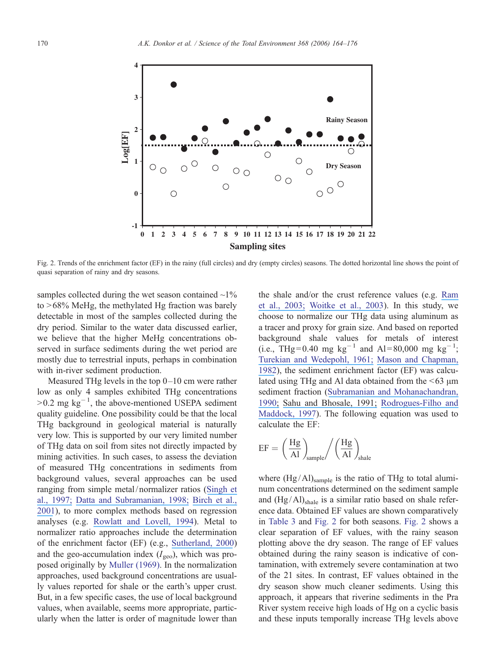

Fig. 2. Trends of the enrichment factor (EF) in the rainy (full circles) and dry (empty circles) seasons. The dotted horizontal line shows the point of quasi separation of rainy and dry seasons.

samples collected during the wet season contained  $\sim$ 1% to  $>68\%$  MeHg, the methylated Hg fraction was barely detectable in most of the samples collected during the dry period. Similar to the water data discussed earlier, we believe that the higher MeHg concentrations observed in surface sediments during the wet period are mostly due to terrestrial inputs, perhaps in combination with in-river sediment production.

Measured THg levels in the top 0–10 cm were rather low as only 4 samples exhibited THg concentrations  $>$  0.2 mg kg<sup>-1</sup>, the above-mentioned USEPA sediment quality guideline. One possibility could be that the local THg background in geological material is naturally very low. This is supported by our very limited number of THg data on soil from sites not directly impacted by mining activities. In such cases, to assess the deviation of measured THg concentrations in sediments from background values, several approaches can be used ranging from simple metal/ normalizer ratios ([Si](https://www.researchgate.net/publication/226111309_Heavy_Metals_in_Freshly_Deposited_Sediments_of_the_Gomati_River_a_Tributary_of_the_Ganga_River_Effects_of_Human_Activities?el=1_x_8&enrichId=rgreq-d2a5cd0d3451b477a4744498d9189409-XXX&enrichSource=Y292ZXJQYWdlOzc1MjM5Mzk7QVM6MTg2MzQ1NDIzMTIyNDMzQDE0MjE0Mzk2MTkxMzM=)[ngh et](#page-12-0) [al., 1997;](https://www.researchgate.net/publication/226111309_Heavy_Metals_in_Freshly_Deposited_Sediments_of_the_Gomati_River_a_Tributary_of_the_Ganga_River_Effects_of_Human_Activities?el=1_x_8&enrichId=rgreq-d2a5cd0d3451b477a4744498d9189409-XXX&enrichSource=Y292ZXJQYWdlOzc1MjM5Mzk7QVM6MTg2MzQ1NDIzMTIyNDMzQDE0MjE0Mzk2MTkxMzM=) [Datta and Subramanian, 1998;](https://www.researchgate.net/publication/227289917_Distribution_and_fractionation_of_heavy_metals_in_the_surface_sediments_of_the_Ganges-Brahmaputra-Meghna_river_system_in_the_Bengal_basin?el=1_x_8&enrichId=rgreq-d2a5cd0d3451b477a4744498d9189409-XXX&enrichSource=Y292ZXJQYWdlOzc1MjM5Mzk7QVM6MTg2MzQ1NDIzMTIyNDMzQDE0MjE0Mzk2MTkxMzM=) [Birch et al.,](https://www.researchgate.net/publication/225216940_The_Source_of_Anthropogenic_Heavy_Metals_in_Fluvial_Sediments_of_a_Rural_Catchment_Coxs_River_Australia?el=1_x_8&enrichId=rgreq-d2a5cd0d3451b477a4744498d9189409-XXX&enrichSource=Y292ZXJQYWdlOzc1MjM5Mzk7QVM6MTg2MzQ1NDIzMTIyNDMzQDE0MjE0Mzk2MTkxMzM=) [2001](https://www.researchgate.net/publication/225216940_The_Source_of_Anthropogenic_Heavy_Metals_in_Fluvial_Sediments_of_a_Rural_Catchment_Coxs_River_Australia?el=1_x_8&enrichId=rgreq-d2a5cd0d3451b477a4744498d9189409-XXX&enrichSource=Y292ZXJQYWdlOzc1MjM5Mzk7QVM6MTg2MzQ1NDIzMTIyNDMzQDE0MjE0Mzk2MTkxMzM=)), to more complex methods based on regression analyses (e.g. [R](https://www.researchgate.net/publication/222741214_Lead_zinc_and_chromium_in_sediments_around_England_and_Wales?el=1_x_8&enrichId=rgreq-d2a5cd0d3451b477a4744498d9189409-XXX&enrichSource=Y292ZXJQYWdlOzc1MjM5Mzk7QVM6MTg2MzQ1NDIzMTIyNDMzQDE0MjE0Mzk2MTkxMzM=)[owlatt and Lovell, 1994\).](#page-12-0) Metal to normalizer ratio approaches include the determination of the enrichment factor (EF) (e.g., [Su](https://www.researchgate.net/publication/250107317_Depth_Variation_in_Copper_Lead_and_Zinc_Concentrations_and_Mass_Enrichment_Ratios_in_Soils_of_an_Urban_Watershed?el=1_x_8&enrichId=rgreq-d2a5cd0d3451b477a4744498d9189409-XXX&enrichSource=Y292ZXJQYWdlOzc1MjM5Mzk7QVM6MTg2MzQ1NDIzMTIyNDMzQDE0MjE0Mzk2MTkxMzM=)[therland, 2000\)](#page-13-0) and the geo-accumulation index  $(I_{\text{geo}})$ , which was proposed originally by [Muller \(1969\). I](#page-12-0)n the normalization approaches, used background concentrations are usually values reported for shale or the earth's upper crust. But, in a few specific cases, the use of local background values, when available, seems more appropriate, particularly when the latter is order of magnitude lower than the shale and/or the crust reference values (e.g. [Ram](https://www.researchgate.net/publication/10682055_Mercury_in_sediments_of_Ulhas_estuary?el=1_x_8&enrichId=rgreq-d2a5cd0d3451b477a4744498d9189409-XXX&enrichSource=Y292ZXJQYWdlOzc1MjM5Mzk7QVM6MTg2MzQ1NDIzMTIyNDMzQDE0MjE0Mzk2MTkxMzM=) [et al., 2003;](https://www.researchgate.net/publication/10682055_Mercury_in_sediments_of_Ulhas_estuary?el=1_x_8&enrichId=rgreq-d2a5cd0d3451b477a4744498d9189409-XXX&enrichSource=Y292ZXJQYWdlOzc1MjM5Mzk7QVM6MTg2MzQ1NDIzMTIyNDMzQDE0MjE0Mzk2MTkxMzM=) [Woitke et al., 2003](https://www.researchgate.net/publication/10828516_Analysis_and_Assessment_of_Heavy_Metal_Pollution_in_Suspended_and_Sediments_of_the_River_Danube?el=1_x_8&enrichId=rgreq-d2a5cd0d3451b477a4744498d9189409-XXX&enrichSource=Y292ZXJQYWdlOzc1MjM5Mzk7QVM6MTg2MzQ1NDIzMTIyNDMzQDE0MjE0Mzk2MTkxMzM=)). In this study, we choose to normalize our THg data using aluminum as a tracer and proxy for grain size. And based on reported background shale values for metals of interest  $(i.e., THg=0.40$  mg kg<sup>-1</sup> and Al=80,000 mg kg<sup>-1</sup>; [T](https://www.researchgate.net/publication/240670029_Distribution_of_the_Elements_in_Some_Major_Units_of_the_Earth)[urekian and Wedepohl, 1961; Mason and Chapma](#page-13-0)[n,](https://www.researchgate.net/publication/232169948_Principles_of_Geochemistry?el=1_x_8&enrichId=rgreq-d2a5cd0d3451b477a4744498d9189409-XXX&enrichSource=Y292ZXJQYWdlOzc1MjM5Mzk7QVM6MTg2MzQ1NDIzMTIyNDMzQDE0MjE0Mzk2MTkxMzM=) [1982](https://www.researchgate.net/publication/232169948_Principles_of_Geochemistry?el=1_x_8&enrichId=rgreq-d2a5cd0d3451b477a4744498d9189409-XXX&enrichSource=Y292ZXJQYWdlOzc1MjM5Mzk7QVM6MTg2MzQ1NDIzMTIyNDMzQDE0MjE0Mzk2MTkxMzM=)), the sediment enrichment factor (EF) was calculated using THg and Al data obtained from the  $\leq 63$  µm sediment fraction ([Subramanian and Mohanachandra](#page-12-0)[n,](https://www.researchgate.net/publication/240420658_Heavy_metals_distribution_and_enrichment_in_the_sediments_of_southern_east_coast_of_India?el=1_x_8&enrichId=rgreq-d2a5cd0d3451b477a4744498d9189409-XXX&enrichSource=Y292ZXJQYWdlOzc1MjM5Mzk7QVM6MTg2MzQ1NDIzMTIyNDMzQDE0MjE0Mzk2MTkxMzM=) [1990;](https://www.researchgate.net/publication/240420658_Heavy_metals_distribution_and_enrichment_in_the_sediments_of_southern_east_coast_of_India?el=1_x_8&enrichId=rgreq-d2a5cd0d3451b477a4744498d9189409-XXX&enrichSource=Y292ZXJQYWdlOzc1MjM5Mzk7QVM6MTg2MzQ1NDIzMTIyNDMzQDE0MjE0Mzk2MTkxMzM=) [Sahu and Bhosale, 1991;](https://www.researchgate.net/publication/222875216_Heavy_metal_pollution_around_the_island_city_of_Bombay_India_Part_I_quantification_of_heavy_metal_pollution_of_aquatic_sediments_and_recognition_of_environmental_discriminants?el=1_x_8&enrichId=rgreq-d2a5cd0d3451b477a4744498d9189409-XXX&enrichSource=Y292ZXJQYWdlOzc1MjM5Mzk7QVM6MTg2MzQ1NDIzMTIyNDMzQDE0MjE0Mzk2MTkxMzM=) [R](https://www.researchgate.net/publication/229375854_Mercury_pollution_in_two_gold_mining_areas_of_the_Brazilian_Amazon?el=1_x_8&enrichId=rgreq-d2a5cd0d3451b477a4744498d9189409-XXX&enrichSource=Y292ZXJQYWdlOzc1MjM5Mzk7QVM6MTg2MzQ1NDIzMTIyNDMzQDE0MjE0Mzk2MTkxMzM=)[odrogues-Filho an](#page-12-0)[d](https://www.researchgate.net/publication/229375854_Mercury_pollution_in_two_gold_mining_areas_of_the_Brazilian_Amazon?el=1_x_8&enrichId=rgreq-d2a5cd0d3451b477a4744498d9189409-XXX&enrichSource=Y292ZXJQYWdlOzc1MjM5Mzk7QVM6MTg2MzQ1NDIzMTIyNDMzQDE0MjE0Mzk2MTkxMzM=) [Maddock, 1997](https://www.researchgate.net/publication/229375854_Mercury_pollution_in_two_gold_mining_areas_of_the_Brazilian_Amazon?el=1_x_8&enrichId=rgreq-d2a5cd0d3451b477a4744498d9189409-XXX&enrichSource=Y292ZXJQYWdlOzc1MjM5Mzk7QVM6MTg2MzQ1NDIzMTIyNDMzQDE0MjE0Mzk2MTkxMzM=)). The following equation was used to calculate the EF:

$$
EF = \left(\frac{Hg}{AI}\right)_{sample} / \left(\frac{Hg}{AI}\right)_{shale}
$$

where  $(Hg/Al)_{sample}$  is the ratio of THg to total aluminum concentrations determined on the sediment sample and  $(Hg/Al)_{\text{shale}}$  is a similar ratio based on shale reference data. Obtained EF values are shown comparatively in [Table 3](#page-6-0) and Fig. 2 for both seasons. Fig. 2 shows a clear separation of EF values, with the rainy season plotting above the dry season. The range of EF values obtained during the rainy season is indicative of contamination, with extremely severe contamination at two of the 21 sites. In contrast, EF values obtained in the dry season show much cleaner sediments. Using this approach, it appears that riverine sediments in the Pra River system receive high loads of Hg on a cyclic basis and these inputs temporally increase THg levels above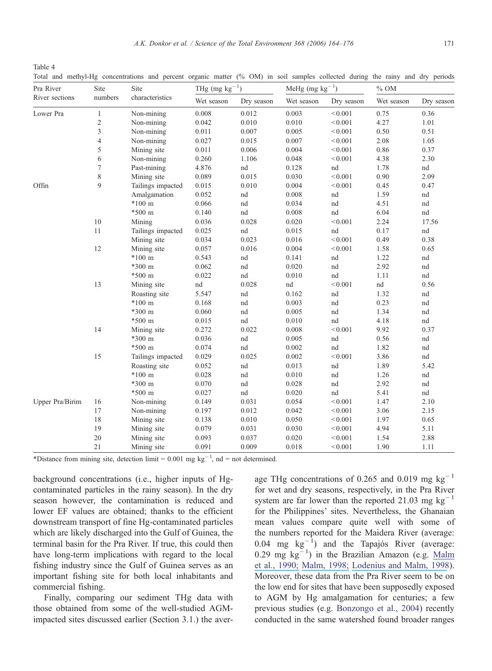<span id="page-8-0"></span>

| Pra River       | Site           | Site              | THg (mg $kg^{-1}$ ) |             | MeHg $(mg kg^{-1})$ |            | $\%$ OM     |            |
|-----------------|----------------|-------------------|---------------------|-------------|---------------------|------------|-------------|------------|
| River sections  | numbers        | characteristics   | Wet season          | Dry season  | Wet season          | Dry season | Wet season  | Dry season |
| Lower Pra       | $\mathbf{1}$   | Non-mining        | 0.008               | 0.012       | 0.003               | < 0.001    | 0.75        | 0.36       |
|                 | $\sqrt{2}$     | Non-mining        | 0.042               | 0.010       | 0.010               | < 0.001    | 4.27        | 1.01       |
|                 | 3              | Non-mining        | 0.011               | 0.007       | 0.005               | < 0.001    | 0.50        | 0.51       |
|                 | $\overline{4}$ | Non-mining        | 0.027               | 0.015       | 0.007               | < 0.001    | 2.08        | 1.05       |
|                 | 5              | Mining site       | 0.011               | 0.006       | 0.004               | < 0.001    | 0.86        | 0.37       |
|                 | $\sqrt{6}$     | Non-mining        | 0.260               | 1.106       | 0.048               | < 0.001    | 4.38        | 2.30       |
|                 | $\overline{7}$ | Past-mining       | 4.876               | nd          | 0.128               | nd         | 1.78        | nd         |
|                 | $\,$ 8 $\,$    | Mining site       | 0.089               | 0.015       | 0.030               | < 0.001    | 0.90        | 2.09       |
| Offin           | 9              | Tailings impacted | 0.015               | 0.010       | 0.004               | < 0.001    | 0.45        | 0.47       |
|                 |                | Amalgamation      | 0.052               | nd          | 0.008               | nd         | 1.59        | nd         |
|                 |                | $*100$ m          | 0.066               | nd          | 0.034               | nd         | 4.51        | nd         |
|                 |                | $*500$ m          | 0.140               | nd          | 0.008               | nd         | 6.04        | nd         |
|                 | $10\,$         | Mining            | 0.036               | 0.028       | 0.020               | < 0.001    | 2.24        | 17.56      |
|                 | 11             | Tailings impacted | 0.025               | nd          | 0.015               | nd         | 0.17        | nd         |
|                 |                | Mining site       | 0.034               | 0.023       | 0.016               | < 0.001    | 0.49        | 0.38       |
|                 | $12\,$         | Mining site       | 0.057               | 0.016       | 0.004               | < 0.001    | 1.58        | 0.65       |
|                 |                | $*100$ m          | 0.543               | nd          | 0.141               | nd         | 1.22        | nd         |
|                 |                | *300 m            | 0.062               | nd          | 0.020               | nd         | 2.92        | nd         |
|                 |                | *500 m            | 0.022               | nd          | 0.010               | nd         | 1.11        | nd         |
|                 | 13             | Mining site       | nd                  | 0.028       | nd                  | < 0.001    | $^{\rm nd}$ | 0.56       |
|                 |                | Roasting site     | 5.547               | nd          | 0.162               | nd         | 1.32        | nd         |
|                 |                | $*100$ m          | 0.168               | nd          | 0.003               | nd         | 0.23        | nd         |
|                 |                | *300 m            | 0.060               | nd          | 0.005               | nd         | 1.34        | nd         |
|                 |                | *500 m            | 0.015               | nd          | 0.010               | nd         | 4.18        | nd         |
|                 | 14             | Mining site       | 0.272               | 0.022       | 0.008               | < 0.001    | 9.92        | 0.37       |
|                 |                | *300 m            | 0.036               | $^{\rm nd}$ | 0.005               | nd         | 0.56        | nd         |
|                 |                | *500 m            | 0.074               | nd          | 0.002               | nd         | 1.82        | nd         |
|                 | 15             | Tailings impacted | 0.029               | 0.025       | 0.002               | < 0.001    | 3.86        | nd         |
|                 |                | Roasting site     | 0.052               | nd          | 0.013               | nd         | 1.89        | 5.42       |
|                 |                | $*100$ m          | 0.028               | nd          | 0.010               | nd         | 1.26        | nd         |
|                 |                | *300 m            | 0.070               | $^{\rm nd}$ | 0.028               | nd         | 2.92        | nd         |
|                 |                | *500 m            | 0.027               | nd          | 0.020               | nd         | 5.41        | nd         |
| Upper Pra/Birim | 16             | Non-mining        | 0.149               | 0.031       | 0.054               | < 0.001    | 1.47        | 2.10       |
|                 | 17             | Non-mining        | 0.197               | 0.012       | 0.042               | < 0.001    | 3.06        | 2.15       |
|                 | 18             | Mining site       | 0.138               | 0.010       | 0.050               | < 0.001    | 1.97        | 0.65       |
|                 | 19             | Mining site       | 0.079               | 0.031       | 0.030               | < 0.001    | 4.94        | 5.11       |
|                 | $20\,$         | Mining site       | 0.093               | 0.037       | 0.020               | < 0.001    | 1.54        | 2.88       |
|                 | 21             | Mining site       | 0.091               | 0.009       | 0.018               | < 0.001    | 1.90        | 1.11       |

\*Distance from mining site, detection limit =  $0.001$  mg kg<sup>-1</sup>, nd = not determined.

background concentrations (i.e., higher inputs of Hgcontaminated particles in the rainy season). In the dry season however, the contamination is reduced and lower EF values are obtained; thanks to the efficient downstream transport of fine Hg-contaminated particles which are likely discharged into the Gulf of Guinea, the terminal basin for the Pra River. If true, this could then have long-term implications with regard to the local fishing industry since the Gulf of Guinea serves as an important fishing site for both local inhabitants and commercial fishing.

Finally, comparing our sediment THg data with those obtained from some of the well-studied AGMimpacted sites discussed earlier (Section 3.1.) the aver-

age THg concentrations of 0.265 and 0.019 mg  $\text{kg}^{-1}$ for wet and dry seasons, respectively, in the Pra River system are far lower than the reported 21.03 mg  $kg^{-1}$ for the Philippines' sites. Nevertheless, the Ghanaian mean values compare quite well with some of the numbers reported for the Maidera River (average: 0.04 mg  $kg^{-1}$ ) and the Tapajós River (average:  $0.29$  [m](https://www.researchgate.net/publication/279893040_Mercury_pollution_due_to_gold_mining_in_the_Madeira_River_Basin_Brazil?el=1_x_8&enrichId=rgreq-d2a5cd0d3451b477a4744498d9189409-XXX&enrichSource=Y292ZXJQYWdlOzc1MjM5Mzk7QVM6MTg2MzQ1NDIzMTIyNDMzQDE0MjE0Mzk2MTkxMzM=)g  $\text{kg}^{-1}$ ) in the Brazilian Amazon (e.g. [M](https://www.researchgate.net/publication/279893040_Mercury_pollution_due_to_gold_mining_in_the_Madeira_River_Basin_Brazil?el=1_x_8&enrichId=rgreq-d2a5cd0d3451b477a4744498d9189409-XXX&enrichSource=Y292ZXJQYWdlOzc1MjM5Mzk7QVM6MTg2MzQ1NDIzMTIyNDMzQDE0MjE0Mzk2MTkxMzM=)[al](#page-12-0)m [et al., 1990;](https://www.researchgate.net/publication/279893040_Mercury_pollution_due_to_gold_mining_in_the_Madeira_River_Basin_Brazil?el=1_x_8&enrichId=rgreq-d2a5cd0d3451b477a4744498d9189409-XXX&enrichSource=Y292ZXJQYWdlOzc1MjM5Mzk7QVM6MTg2MzQ1NDIzMTIyNDMzQDE0MjE0Mzk2MTkxMzM=) [Malm, 1998;](https://www.researchgate.net/publication/13682991_Gold_Mining_as_a_Source_of_Mercury_Exposure_in_the_Brazilian_Amazon_Environmental_Research_Section_A_77_73-78?el=1_x_8&enrichId=rgreq-d2a5cd0d3451b477a4744498d9189409-XXX&enrichSource=Y292ZXJQYWdlOzc1MjM5Mzk7QVM6MTg2MzQ1NDIzMTIyNDMzQDE0MjE0Mzk2MTkxMzM=) [Lodenius and Malm, 1998](https://www.researchgate.net/publication/13617675_Mercury_in_the_Amazon?el=1_x_8&enrichId=rgreq-d2a5cd0d3451b477a4744498d9189409-XXX&enrichSource=Y292ZXJQYWdlOzc1MjM5Mzk7QVM6MTg2MzQ1NDIzMTIyNDMzQDE0MjE0Mzk2MTkxMzM=)). Moreover, these data from the Pra River seem to be on the low end for sites that have been supposedly exposed to AGM by Hg amalgamation for centuries; a few previous studies (e.g. [Bonzongo et al., 2004\)](#page-12-0) recently conducted in the same watershed found broader ranges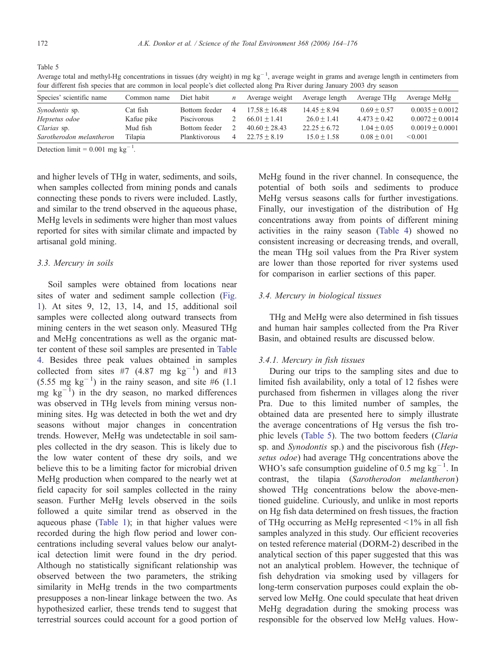| four different fish species that are common in local people's diet collected along Pra River during January 2003 dry season |             |               |  |                 |                 |                 |                   |  |  |  |
|-----------------------------------------------------------------------------------------------------------------------------|-------------|---------------|--|-----------------|-----------------|-----------------|-------------------|--|--|--|
| Species' scientific name                                                                                                    | Common name | Diet habit    |  | Average weight  | Average length  | Average THg     | Average MeHg      |  |  |  |
| Synodontis sp.                                                                                                              | Cat fish    | Bottom feeder |  | $17.58 + 16.48$ | $14.45 + 8.94$  | $0.69 + 0.57$   | $0.0035 + 0.0012$ |  |  |  |
| Hepsetus odoe                                                                                                               | Kafue pike  | Piscivorous   |  | $66.01 + 1.41$  | $26.0 + 1.41$   | $4.473 + 0.42$  | $0.0072 + 0.0014$ |  |  |  |
| Clarias sp.                                                                                                                 | Mud fish    | Bottom feeder |  | $40.60 + 28.43$ | $22.25 + 6.72$  | $1.04 + 0.05$   | $0.0019 + 0.0001$ |  |  |  |
| Sarotherodon melantheron                                                                                                    | Tilapia     | Planktivorous |  | $22.75 + 8.19$  | $15.0 \pm 1.58$ | $0.08 \pm 0.01$ | < 0.001           |  |  |  |

<span id="page-9-0"></span>Average total and methyl-Hg concentrations in tissues (dry weight) in mg  $kg^{-1}$ , average weight in grams and average length in centimeters from

Detection limit =  $0.001$  mg kg<sup>-1</sup>.

and higher levels of THg in water, sediments, and soils, when samples collected from mining ponds and canals connecting these ponds to rivers were included. Lastly, and similar to the trend observed in the aqueous phase, MeHg levels in sediments were higher than most values reported for sites with similar climate and impacted by artisanal gold mining.

#### 3.3. Mercury in soils

Soil samples were obtained from locations near sites of water and sediment sample collection (F[ig.](#page-3-0) 1). At sites 9, 12, 13, 14, and 15, additional soil samples were collected along outward transects from mining centers in the wet season only. Measured THg and MeHg concentrations as well as the organic matter content of these soil samples are presented in T[able](#page-8-0) 4. Besides three peak values obtained in samples collected from sites #7  $(4.87 \text{ mg kg}^{-1})$  and #13  $(5.55 \text{ mg kg}^{-1})$  in the rainy season, and site #6 (1.1) mg  $kg^{-1}$ ) in the dry season, no marked differences was observed in THg levels from mining versus nonmining sites. Hg was detected in both the wet and dry seasons without major changes in concentration trends. However, MeHg was undetectable in soil samples collected in the dry season. This is likely due to the low water content of these dry soils, and we believe this to be a limiting factor for microbial driven MeHg production when compared to the nearly wet at field capacity for soil samples collected in the rainy season. Further MeHg levels observed in the soils followed a quite similar trend as observed in the aqueous phase (T[able 1\);](#page-4-0) in that higher values were recorded during the high flow period and lower concentrations including several values below our analytical detection limit were found in the dry period. Although no statistically significant relationship was observed between the two parameters, the striking similarity in MeHg trends in the two compartments presupposes a non-linear linkage between the two. As hypothesized earlier, these trends tend to suggest that terrestrial sources could account for a good portion of MeHg found in the river channel. In consequence, the potential of both soils and sediments to produce MeHg versus seasons calls for further investigations. Finally, our investigation of the distribution of Hg concentrations away from points of different mining activities in the rainy season ([Table 4\)](#page-8-0) showed no consistent increasing or decreasing trends, and overall, the mean THg soil values from the Pra River system are lower than those reported for river systems used for comparison in earlier sections of this paper.

# 3.4. Mercury in biological tissues

THg and MeHg were also determined in fish tissues and human hair samples collected from the Pra River Basin, and obtained results are discussed below.

# 3.4.1. Mercury in fish tissues

During our trips to the sampling sites and due to limited fish availability, only a total of 12 fishes were purchased from fishermen in villages along the river Pra. Due to this limited number of samples, the obtained data are presented here to simply illustrate the average concentrations of Hg versus the fish trophic levels (Table 5). The two bottom feeders (Claria sp. and Synodontis sp.) and the piscivorous fish (Hepsetus odoe) had average THg concentrations above the WHO's safe consumption guideline of 0.5 mg  $kg^{-1}$ . In contrast, the tilapia (Sarotherodon melantheron) showed THg concentrations below the above-mentioned guideline. Curiously, and unlike in most reports on Hg fish data determined on fresh tissues, the fraction of THg occurring as MeHg represented  $\langle 1\% \rangle$  in all fish samples analyzed in this study. Our efficient recoveries on tested reference material (DORM-2) described in the analytical section of this paper suggested that this was not an analytical problem. However, the technique of fish dehydration via smoking used by villagers for long-term conservation purposes could explain the observed low MeHg. One could speculate that heat driven MeHg degradation during the smoking process was responsible for the observed low MeHg values. How-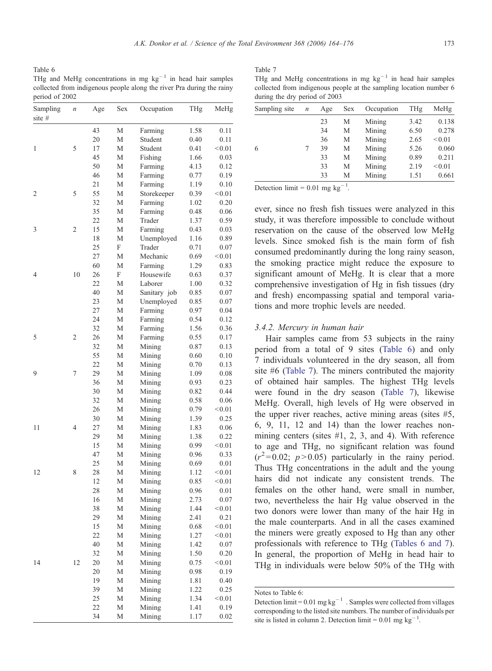<span id="page-10-0"></span>Table 6 THg and MeHg concentrations in mg  $kg^{-1}$  in head hair samples collected from indigenous people along the river Pra during the rainy period of 2002

| period of<br>Sampling |                  |     | Sex         | Occupation   | THg  | MeHg   |
|-----------------------|------------------|-----|-------------|--------------|------|--------|
| site #                | $\boldsymbol{n}$ | Age |             |              |      |        |
|                       |                  |     |             |              |      |        |
|                       |                  | 43  | М           | Farming      | 1.58 | 0.11   |
|                       |                  | 20  | М           | Student      | 0.40 | 0.11   |
| 1                     | 5                | 17  | М           | Student      | 0.41 | < 0.01 |
|                       |                  | 45  | М           | Fishing      | 1.66 | 0.03   |
|                       |                  | 50  | М           | Farming      | 4.13 | 0.12   |
|                       |                  | 46  | Μ           | Farming      | 0.77 | 0.19   |
|                       |                  | 21  | М           | Farming      | 1.19 | 0.10   |
| 2                     | 5                | 55  | М           | Storekeeper  | 0.39 | < 0.01 |
|                       |                  | 32  | М           | Farming      | 1.02 | 0.20   |
|                       |                  | 35  | М           | Farming      | 0.48 | 0.06   |
|                       |                  | 22  | М           | Trader       | 1.37 | 0.59   |
| 3                     | $\overline{c}$   | 15  | М           | Farming      | 0.43 | 0.03   |
|                       |                  | 18  | М           | Unemployed   | 1.16 | 0.89   |
|                       |                  | 25  | F           | Trader       | 0.71 | 0.07   |
|                       |                  | 27  | М           | Mechanic     | 0.69 | < 0.01 |
|                       |                  | 60  | М           | Farming      | 1.29 | 0.83   |
| 4                     | 10               | 26  | F           | Housewife    | 0.63 | 0.37   |
|                       |                  | 22  | М           | Laborer      | 1.00 | 0.32   |
|                       |                  | 40  | М           | Sanitary job | 0.85 | 0.07   |
|                       |                  | 23  | М           | Unemployed   | 0.85 | 0.07   |
|                       |                  | 27  | М           | Farming      | 0.97 | 0.04   |
|                       |                  | 24  | М           | Farming      | 0.54 | 0.12   |
|                       |                  | 32  | М           | Farming      | 1.56 | 0.36   |
| 5                     | $\overline{c}$   | 26  | М           | Farming      | 0.55 | 0.17   |
|                       |                  | 32  | М           | Mining       | 0.87 | 0.13   |
|                       |                  | 55  | М           | Mining       | 0.60 | 0.10   |
|                       |                  | 22  | М           | Mining       | 0.70 | 0.13   |
| 9                     | 7                | 29  | М           | Mining       | 1.09 | 0.08   |
|                       |                  | 36  | М           | Mining       | 0.93 | 0.23   |
|                       |                  | 30  | М           | Mining       | 0.82 | 0.44   |
|                       |                  | 32  | М           | Mining       | 0.58 | 0.06   |
|                       |                  | 26  | М           | Mining       | 0.79 | < 0.01 |
|                       |                  | 30  | М           | Mining       | 1.39 | 0.25   |
| 11                    | 4                | 27  | М           | Mining       | 1.83 | 0.06   |
|                       |                  | 29  | М           | Mining       | 1.38 | 0.22   |
|                       |                  | 15  | М           | Mining       | 0.99 | < 0.01 |
|                       |                  | 47  | Μ           | Mining       | 0.96 | 0.33   |
|                       |                  | 25  | М           | Mining       | 0.69 | 0.01   |
| 12                    | 8                | 28  | Μ           | Mining       | 1.12 | < 0.01 |
|                       |                  | 12  | М           | Mining       | 0.85 | < 0.01 |
|                       |                  | 28  | М           | Mining       | 0.96 | 0.01   |
|                       |                  | 16  | М           | Mining       | 2.73 | 0.07   |
|                       |                  | 38  | М           | Mining       | 1.44 | < 0.01 |
|                       |                  | 29  | $\mathbf M$ | Mining       | 2.41 | 0.21   |
|                       |                  | 15  | М           | Mining       | 0.68 | < 0.01 |
|                       |                  | 22  | М           | Mining       | 1.27 | < 0.01 |
|                       |                  | 40  |             | Mining       | 1.42 |        |
|                       |                  |     | М           |              |      | 0.07   |
|                       |                  | 32  | М           | Mining       | 1.50 | 0.20   |
| 14                    | 12               | 20  | М           | Mining       | 0.75 | < 0.01 |
|                       |                  | 20  | М           | Mining       | 0.98 | 0.19   |
|                       |                  | 19  | М           | Mining       | 1.81 | 0.40   |
|                       |                  | 39  | М           | Mining       | 1.22 | 0.25   |
|                       |                  | 25  | М           | Mining       | 1.34 | < 0.01 |
|                       |                  | 22  | М           | Mining       | 1.41 | 0.19   |
|                       |                  | 34  | М           | Mining       | 1.17 | 0.02   |

| THg and MeHg concentrations in mg $kg^{-1}$ in head hair samples   |  |
|--------------------------------------------------------------------|--|
| collected from indigenous people at the sampling location number 6 |  |
| during the dry period of 2003                                      |  |

| Sampling site | $\boldsymbol{n}$ | Age | <b>Sex</b> | Occupation | THg  | MeHg   |
|---------------|------------------|-----|------------|------------|------|--------|
|               |                  | 23  | М          | Mining     | 3.42 | 0.138  |
|               |                  | 34  | М          | Mining     | 6.50 | 0.278  |
|               |                  | 36  | M          | Mining     | 2.65 | < 0.01 |
| 6             | 7                | 39  | M          | Mining     | 5.26 | 0.060  |
|               |                  | 33  | М          | Mining     | 0.89 | 0.211  |
|               |                  | 33  | M          | Mining     | 2.19 | < 0.01 |
|               |                  | 33  | M          | Mining     | 1.51 | 0.661  |

Detection limit =  $0.01$  mg kg<sup>-1</sup>.

ever, since no fresh fish tissues were analyzed in this study, it was therefore impossible to conclude without reservation on the cause of the observed low MeHg levels. Since smoked fish is the main form of fish consumed predominantly during the long rainy season, the smoking practice might reduce the exposure to significant amount of MeHg. It is clear that a more comprehensive investigation of Hg in fish tissues (dry and fresh) encompassing spatial and temporal variations and more trophic levels are needed.

#### 3.4.2. Mercury in human hair

Hair samples came from 53 subjects in the rainy period from a total of 9 sites (Table 6) and only 7 individuals volunteered in the dry season, all from site #6 (Table 7). The miners contributed the majority of obtained hair samples. The highest THg levels were found in the dry season (Table 7), likewise MeHg. Overall, high levels of Hg were observed in the upper river reaches, active mining areas (sites #5, 6, 9, 11, 12 and 14) than the lower reaches nonmining centers (sites #1, 2, 3, and 4). With reference to age and THg, no significant relation was found  $(r^2=0.02; p>0.05)$  particularly in the rainy period. Thus THg concentrations in the adult and the young hairs did not indicate any consistent trends. The females on the other hand, were small in number, two, nevertheless the hair Hg value observed in the two donors were lower than many of the hair Hg in the male counterparts. And in all the cases examined the miners were greatly exposed to Hg than any other professionals with reference to THg (Tables 6 and 7). In general, the proportion of MeHg in head hair to THg in individuals were below 50% of the THg with

Notes to Table 6:

Detection limit =  $0.01$  mg kg<sup>-1</sup>. Samples were collected from villages corresponding to the listed site numbers. The number of individuals per site is listed in column 2. Detection limit =  $0.01$  mg kg<sup>-1</sup>.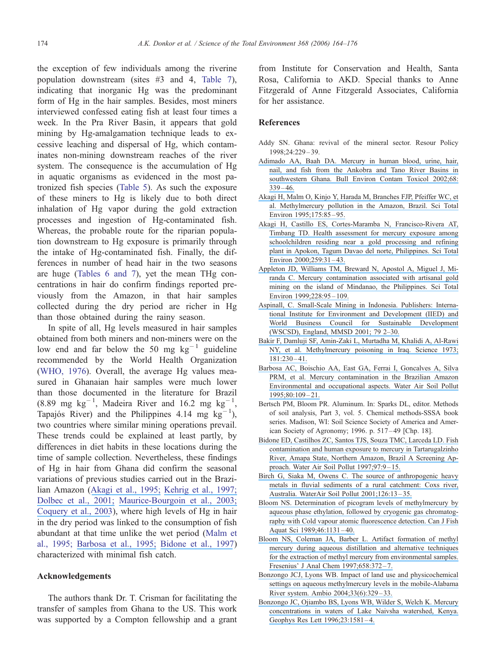<span id="page-11-0"></span>the exception of few individuals among the riverine population downstream (sites #3 and 4, T[able 7\),](#page-10-0) indicating that inorganic Hg was the predominant form of Hg in the hair samples. Besides, most miners interviewed confessed eating fish at least four times a week. In the Pra River Basin, it appears that gold mining by Hg-amalgamation technique leads to excessive leaching and dispersal of Hg, which contaminates non-mining downstream reaches of the river system. The consequence is the accumulation of Hg in aquatic organisms as evidenced in the most patronized fish species (T[able 5\).](#page-9-0) As such the exposure of these miners to Hg is likely due to both direct inhalation of Hg vapor during the gold extraction processes and ingestion of Hg-contaminated fish. Whereas, the probable route for the riparian population downstream to Hg exposure is primarily through the intake of Hg-contaminated fish. Finally, the differences in number of head hair in the two seasons are huge (T[ables 6 and 7\),](#page-10-0) yet the mean THg concentrations in hair do confirm findings reported previously from the Amazon, in that hair samples collected during the dry period are richer in Hg than those obtained during the rainy season.

In spite of all, Hg levels measured in hair samples obtained from both miners and non-miners were on the low end and far below the 50 mg  $kg^{-1}$  guideline recommended by the World Health Organization ([WHO, 1976\).](#page-13-0) Overall, the average Hg values measured in Ghanaian hair samples were much lower than those documented in the literature for Brazil  $(8.89 \text{ mg kg}^{-1}, \text{ Madeira River and } 16.2 \text{ mg kg}^{-1},$ Tapajós River) and the Philippines 4.14 mg  $kg^{-1}$ ), two countries where similar mining operations prevail. These trends could be explained at least partly, by differences in diet habits in these locations during the time of sample collection. Nevertheless, these findings of Hg in hair from Ghana did confirm the seasonal variations of previous studies carried out in the Brazilian Amazon ([Akagi et al., 1995;](https://www.researchgate.net/publication/222494247_Methylmercury_pollution_in_the_Amazon_Brazil?el=1_x_8&enrichId=rgreq-d2a5cd0d3451b477a4744498d9189409-XXX&enrichSource=Y292ZXJQYWdlOzc1MjM5Mzk7QVM6MTg2MzQ1NDIzMTIyNDMzQDE0MjE0Mzk2MTkxMzM=) [Kehrig et al., 1997;](https://www.researchgate.net/publication/225947089_Methylmercury_in_hair_samples_from_different_riverine_groups_Amazon_Brazil?el=1_x_8&enrichId=rgreq-d2a5cd0d3451b477a4744498d9189409-XXX&enrichSource=Y292ZXJQYWdlOzc1MjM5Mzk7QVM6MTg2MzQ1NDIzMTIyNDMzQDE0MjE0Mzk2MTkxMzM=) [Dolbec et al., 2001;](https://www.researchgate.net/publication/11991534_Sequential_analysis_of_hair_mercury_levels_in_relation_to_fish_diet_of_an_Amazonian_population_Brazil?el=1_x_8&enrichId=rgreq-d2a5cd0d3451b477a4744498d9189409-XXX&enrichSource=Y292ZXJQYWdlOzc1MjM5Mzk7QVM6MTg2MzQ1NDIzMTIyNDMzQDE0MjE0Mzk2MTkxMzM=) [Maurice-Bourgoin et al., 2003;](https://www.researchgate.net/publication/253702853_Sources_of_mercury_in_surface_waters_of_the_Upper_Madeira_erosive_basins_Bolivia?el=1_x_8&enrichId=rgreq-d2a5cd0d3451b477a4744498d9189409-XXX&enrichSource=Y292ZXJQYWdlOzc1MjM5Mzk7QVM6MTg2MzQ1NDIzMTIyNDMzQDE0MjE0Mzk2MTkxMzM=) [Coquery et al., 2003](https://www.researchgate.net/publication/29493989_Methylmercury_formation_in_the_anoxic_waters_of_Petit-Saut_reservoir_French_Guiana_and_its_spreading_in_adjacent_Sinnamary_River?el=1_x_8&enrichId=rgreq-d2a5cd0d3451b477a4744498d9189409-XXX&enrichSource=Y292ZXJQYWdlOzc1MjM5Mzk7QVM6MTg2MzQ1NDIzMTIyNDMzQDE0MjE0Mzk2MTkxMzM=)), where high levels of Hg in hair in the dry period was linked to the consumption of fish abundant at that time unlike the wet period ([Malm et](#page-12-0) al., 1995; [Barbosa et al., 1995;](https://www.researchgate.net/publication/225957441_Mercury_Contamination_in_the_Brazilian_Amazon_Environmental_and_Occupational_Aspects?el=1_x_8&enrichId=rgreq-d2a5cd0d3451b477a4744498d9189409-XXX&enrichSource=Y292ZXJQYWdlOzc1MjM5Mzk7QVM6MTg2MzQ1NDIzMTIyNDMzQDE0MjE0Mzk2MTkxMzM=) [Bidone et al., 1997](https://www.researchgate.net/publication/225320759_Fish_contamination_and_human_exposure_to_mercury_in_Tartarugalzinho_River_Amapa_State_Northern_Amazon_Brazil_A_screening_approach?el=1_x_8&enrichId=rgreq-d2a5cd0d3451b477a4744498d9189409-XXX&enrichSource=Y292ZXJQYWdlOzc1MjM5Mzk7QVM6MTg2MzQ1NDIzMTIyNDMzQDE0MjE0Mzk2MTkxMzM=)) characterized with minimal fish catch.

#### Acknowledgements

The authors thank Dr. T. Crisman for facilitating the transfer of samples from Ghana to the US. This work was supported by a Compton fellowship and a grant from Institute for Conservation and Health, Santa Rosa, California to AKD. Special thanks to Anne Fitzgerald of Anne Fitzgerald Associates, California for her assistance.

#### References

- Addy SN. Ghana: revival of the mineral sector. Resour Policy 1998;24:229 – 39.
- [Adimado AA, Baah DA. Mercury in human blood, urine, hair,](https://www.researchgate.net/publication/11376379_Mercury_in_Human_Blood_Urine_Hair_Nail_and_Fish_from_the_Ankobra_and_Tano_River_Basins_in_Southwestern_Ghana?el=1_x_8&enrichId=rgreq-d2a5cd0d3451b477a4744498d9189409-XXX&enrichSource=Y292ZXJQYWdlOzc1MjM5Mzk7QVM6MTg2MzQ1NDIzMTIyNDMzQDE0MjE0Mzk2MTkxMzM=) [nail, and fish from the Ankobra and Tano River Basins in](https://www.researchgate.net/publication/11376379_Mercury_in_Human_Blood_Urine_Hair_Nail_and_Fish_from_the_Ankobra_and_Tano_River_Basins_in_Southwestern_Ghana?el=1_x_8&enrichId=rgreq-d2a5cd0d3451b477a4744498d9189409-XXX&enrichSource=Y292ZXJQYWdlOzc1MjM5Mzk7QVM6MTg2MzQ1NDIzMTIyNDMzQDE0MjE0Mzk2MTkxMzM=) [southwestern Ghana. Bull Environ Contam Toxicol 2002;68:](https://www.researchgate.net/publication/11376379_Mercury_in_Human_Blood_Urine_Hair_Nail_and_Fish_from_the_Ankobra_and_Tano_River_Basins_in_Southwestern_Ghana?el=1_x_8&enrichId=rgreq-d2a5cd0d3451b477a4744498d9189409-XXX&enrichSource=Y292ZXJQYWdlOzc1MjM5Mzk7QVM6MTg2MzQ1NDIzMTIyNDMzQDE0MjE0Mzk2MTkxMzM=)  $339 - 46.$
- [Akagi H, Malm O, Kinjo Y, Harada M, Branches FJP, Pfeiffer WC, et](https://www.researchgate.net/publication/222494247_Methylmercury_pollution_in_the_Amazon_Brazil?el=1_x_8&enrichId=rgreq-d2a5cd0d3451b477a4744498d9189409-XXX&enrichSource=Y292ZXJQYWdlOzc1MjM5Mzk7QVM6MTg2MzQ1NDIzMTIyNDMzQDE0MjE0Mzk2MTkxMzM=) [al. Methylmercury pollution in the Amazon, Brazil. Sci Total](https://www.researchgate.net/publication/222494247_Methylmercury_pollution_in_the_Amazon_Brazil?el=1_x_8&enrichId=rgreq-d2a5cd0d3451b477a4744498d9189409-XXX&enrichSource=Y292ZXJQYWdlOzc1MjM5Mzk7QVM6MTg2MzQ1NDIzMTIyNDMzQDE0MjE0Mzk2MTkxMzM=) [Environ 1995;175:85 – 95.](https://www.researchgate.net/publication/222494247_Methylmercury_pollution_in_the_Amazon_Brazil?el=1_x_8&enrichId=rgreq-d2a5cd0d3451b477a4744498d9189409-XXX&enrichSource=Y292ZXJQYWdlOzc1MjM5Mzk7QVM6MTg2MzQ1NDIzMTIyNDMzQDE0MjE0Mzk2MTkxMzM=)
- [Akagi H, Castillo ES, Cortes-Maramba N, Francisco-Rivera AT,](https://www.researchgate.net/publication/12292516_Health_assessment_for_mercury_exposure_among_schoolchildren_residing_near_a_gold_processing_and_refining_plant_in_Apokon_Tagum_Davao_del_Norte_Philippines?el=1_x_8&enrichId=rgreq-d2a5cd0d3451b477a4744498d9189409-XXX&enrichSource=Y292ZXJQYWdlOzc1MjM5Mzk7QVM6MTg2MzQ1NDIzMTIyNDMzQDE0MjE0Mzk2MTkxMzM=) [Timbang TD. Health assessment for mercury exposure among](https://www.researchgate.net/publication/12292516_Health_assessment_for_mercury_exposure_among_schoolchildren_residing_near_a_gold_processing_and_refining_plant_in_Apokon_Tagum_Davao_del_Norte_Philippines?el=1_x_8&enrichId=rgreq-d2a5cd0d3451b477a4744498d9189409-XXX&enrichSource=Y292ZXJQYWdlOzc1MjM5Mzk7QVM6MTg2MzQ1NDIzMTIyNDMzQDE0MjE0Mzk2MTkxMzM=) [schoolchildren residing near a gold processing and refining](https://www.researchgate.net/publication/12292516_Health_assessment_for_mercury_exposure_among_schoolchildren_residing_near_a_gold_processing_and_refining_plant_in_Apokon_Tagum_Davao_del_Norte_Philippines?el=1_x_8&enrichId=rgreq-d2a5cd0d3451b477a4744498d9189409-XXX&enrichSource=Y292ZXJQYWdlOzc1MjM5Mzk7QVM6MTg2MzQ1NDIzMTIyNDMzQDE0MjE0Mzk2MTkxMzM=) [plant in Apokon, Tagum Davao del norte, Philippines. Sci Total](https://www.researchgate.net/publication/12292516_Health_assessment_for_mercury_exposure_among_schoolchildren_residing_near_a_gold_processing_and_refining_plant_in_Apokon_Tagum_Davao_del_Norte_Philippines?el=1_x_8&enrichId=rgreq-d2a5cd0d3451b477a4744498d9189409-XXX&enrichSource=Y292ZXJQYWdlOzc1MjM5Mzk7QVM6MTg2MzQ1NDIzMTIyNDMzQDE0MjE0Mzk2MTkxMzM=) Environ 2000;259:31-43.
- [Appleton JD, Williams TM, Breward N, Apostol A, Miguel J, Mi](https://www.researchgate.net/publication/12928116_Mercury_Contamination_Associated_with_Artisanal_Gold_Mining_on_the_Island_of_Mindanao_the_Philippines?el=1_x_8&enrichId=rgreq-d2a5cd0d3451b477a4744498d9189409-XXX&enrichSource=Y292ZXJQYWdlOzc1MjM5Mzk7QVM6MTg2MzQ1NDIzMTIyNDMzQDE0MjE0Mzk2MTkxMzM=)[randa C. Mercury contamination associated with artisanal gold](https://www.researchgate.net/publication/12928116_Mercury_Contamination_Associated_with_Artisanal_Gold_Mining_on_the_Island_of_Mindanao_the_Philippines?el=1_x_8&enrichId=rgreq-d2a5cd0d3451b477a4744498d9189409-XXX&enrichSource=Y292ZXJQYWdlOzc1MjM5Mzk7QVM6MTg2MzQ1NDIzMTIyNDMzQDE0MjE0Mzk2MTkxMzM=) [mining on the island of Mindanao, the Philippines. Sci Total](https://www.researchgate.net/publication/12928116_Mercury_Contamination_Associated_with_Artisanal_Gold_Mining_on_the_Island_of_Mindanao_the_Philippines?el=1_x_8&enrichId=rgreq-d2a5cd0d3451b477a4744498d9189409-XXX&enrichSource=Y292ZXJQYWdlOzc1MjM5Mzk7QVM6MTg2MzQ1NDIzMTIyNDMzQDE0MjE0Mzk2MTkxMzM=) [Environ 1999;228:95 – 109.](https://www.researchgate.net/publication/12928116_Mercury_Contamination_Associated_with_Artisanal_Gold_Mining_on_the_Island_of_Mindanao_the_Philippines?el=1_x_8&enrichId=rgreq-d2a5cd0d3451b477a4744498d9189409-XXX&enrichSource=Y292ZXJQYWdlOzc1MjM5Mzk7QVM6MTg2MzQ1NDIzMTIyNDMzQDE0MjE0Mzk2MTkxMzM=)
- [Aspinall, C. Small-Scale Mining in Indonesia. Publishers: Interna](https://www.researchgate.net/publication/237694255_Small-Scale_Mining_in_Indonesia?el=1_x_8&enrichId=rgreq-d2a5cd0d3451b477a4744498d9189409-XXX&enrichSource=Y292ZXJQYWdlOzc1MjM5Mzk7QVM6MTg2MzQ1NDIzMTIyNDMzQDE0MjE0Mzk2MTkxMzM=)[tional Institute for Environment and Development \(IIED\) and](https://www.researchgate.net/publication/237694255_Small-Scale_Mining_in_Indonesia?el=1_x_8&enrichId=rgreq-d2a5cd0d3451b477a4744498d9189409-XXX&enrichSource=Y292ZXJQYWdlOzc1MjM5Mzk7QVM6MTg2MzQ1NDIzMTIyNDMzQDE0MjE0Mzk2MTkxMzM=) [World Business Council for Sustainable Development](https://www.researchgate.net/publication/237694255_Small-Scale_Mining_in_Indonesia?el=1_x_8&enrichId=rgreq-d2a5cd0d3451b477a4744498d9189409-XXX&enrichSource=Y292ZXJQYWdlOzc1MjM5Mzk7QVM6MTg2MzQ1NDIzMTIyNDMzQDE0MjE0Mzk2MTkxMzM=) [\(WSCSD\), England, MMSD 2001; 79 2–30.](https://www.researchgate.net/publication/237694255_Small-Scale_Mining_in_Indonesia?el=1_x_8&enrichId=rgreq-d2a5cd0d3451b477a4744498d9189409-XXX&enrichSource=Y292ZXJQYWdlOzc1MjM5Mzk7QVM6MTg2MzQ1NDIzMTIyNDMzQDE0MjE0Mzk2MTkxMzM=)
- [Bakir F, Damluji SF, Amin-Zaki L, Murtadha M, Khalidi A, Al-Rawi](https://www.researchgate.net/publication/18449547_Methylmercury_Poisoning_in_Iraq?el=1_x_8&enrichId=rgreq-d2a5cd0d3451b477a4744498d9189409-XXX&enrichSource=Y292ZXJQYWdlOzc1MjM5Mzk7QVM6MTg2MzQ1NDIzMTIyNDMzQDE0MjE0Mzk2MTkxMzM=) [NY, et al. Methylmercury poisoning in Iraq. Science 1973;](https://www.researchgate.net/publication/18449547_Methylmercury_Poisoning_in_Iraq?el=1_x_8&enrichId=rgreq-d2a5cd0d3451b477a4744498d9189409-XXX&enrichSource=Y292ZXJQYWdlOzc1MjM5Mzk7QVM6MTg2MzQ1NDIzMTIyNDMzQDE0MjE0Mzk2MTkxMzM=) [181:230 – 41.](https://www.researchgate.net/publication/18449547_Methylmercury_Poisoning_in_Iraq?el=1_x_8&enrichId=rgreq-d2a5cd0d3451b477a4744498d9189409-XXX&enrichSource=Y292ZXJQYWdlOzc1MjM5Mzk7QVM6MTg2MzQ1NDIzMTIyNDMzQDE0MjE0Mzk2MTkxMzM=)
- [Barbosa AC, Boischio AA, East GA, Ferrai I, Goncalves A, Silva](https://www.researchgate.net/publication/225957441_Mercury_Contamination_in_the_Brazilian_Amazon_Environmental_and_Occupational_Aspects?el=1_x_8&enrichId=rgreq-d2a5cd0d3451b477a4744498d9189409-XXX&enrichSource=Y292ZXJQYWdlOzc1MjM5Mzk7QVM6MTg2MzQ1NDIzMTIyNDMzQDE0MjE0Mzk2MTkxMzM=) [PRM, et al. Mercury contamination in the Brazilian Amazon](https://www.researchgate.net/publication/225957441_Mercury_Contamination_in_the_Brazilian_Amazon_Environmental_and_Occupational_Aspects?el=1_x_8&enrichId=rgreq-d2a5cd0d3451b477a4744498d9189409-XXX&enrichSource=Y292ZXJQYWdlOzc1MjM5Mzk7QVM6MTg2MzQ1NDIzMTIyNDMzQDE0MjE0Mzk2MTkxMzM=) [Environmental and occupational aspects. Water Air Soil Pollut](https://www.researchgate.net/publication/225957441_Mercury_Contamination_in_the_Brazilian_Amazon_Environmental_and_Occupational_Aspects?el=1_x_8&enrichId=rgreq-d2a5cd0d3451b477a4744498d9189409-XXX&enrichSource=Y292ZXJQYWdlOzc1MjM5Mzk7QVM6MTg2MzQ1NDIzMTIyNDMzQDE0MjE0Mzk2MTkxMzM=) [1995;80:109 – 21.](https://www.researchgate.net/publication/225957441_Mercury_Contamination_in_the_Brazilian_Amazon_Environmental_and_Occupational_Aspects?el=1_x_8&enrichId=rgreq-d2a5cd0d3451b477a4744498d9189409-XXX&enrichSource=Y292ZXJQYWdlOzc1MjM5Mzk7QVM6MTg2MzQ1NDIzMTIyNDMzQDE0MjE0Mzk2MTkxMzM=)
- Bertsch PM, Bloom PR. Aluminum. In: Sparks DL, editor. Methods of soil analysis, Part 3, vol. 5. Chemical methods-SSSA book series. Madison, WI: Soil Science Society of America and American Society of Agronomy; 1996. p. 517 – 49 [Chp. 18].
- [Bidone ED, Castilhos ZC, Santos TJS, Souza TMC, Larceda LD. Fish](https://www.researchgate.net/publication/225320759_Fish_contamination_and_human_exposure_to_mercury_in_Tartarugalzinho_River_Amapa_State_Northern_Amazon_Brazil_A_screening_approach?el=1_x_8&enrichId=rgreq-d2a5cd0d3451b477a4744498d9189409-XXX&enrichSource=Y292ZXJQYWdlOzc1MjM5Mzk7QVM6MTg2MzQ1NDIzMTIyNDMzQDE0MjE0Mzk2MTkxMzM=) [contamination and human exposure to mercury in Tartarugalzinho](https://www.researchgate.net/publication/225320759_Fish_contamination_and_human_exposure_to_mercury_in_Tartarugalzinho_River_Amapa_State_Northern_Amazon_Brazil_A_screening_approach?el=1_x_8&enrichId=rgreq-d2a5cd0d3451b477a4744498d9189409-XXX&enrichSource=Y292ZXJQYWdlOzc1MjM5Mzk7QVM6MTg2MzQ1NDIzMTIyNDMzQDE0MjE0Mzk2MTkxMzM=) [River, Amapa State, Northern Amazon, Brazil A Screening Ap](https://www.researchgate.net/publication/225320759_Fish_contamination_and_human_exposure_to_mercury_in_Tartarugalzinho_River_Amapa_State_Northern_Amazon_Brazil_A_screening_approach?el=1_x_8&enrichId=rgreq-d2a5cd0d3451b477a4744498d9189409-XXX&enrichSource=Y292ZXJQYWdlOzc1MjM5Mzk7QVM6MTg2MzQ1NDIzMTIyNDMzQDE0MjE0Mzk2MTkxMzM=)[proach. Water Air Soil Pollut 1997;97:9 – 15.](https://www.researchgate.net/publication/225320759_Fish_contamination_and_human_exposure_to_mercury_in_Tartarugalzinho_River_Amapa_State_Northern_Amazon_Brazil_A_screening_approach?el=1_x_8&enrichId=rgreq-d2a5cd0d3451b477a4744498d9189409-XXX&enrichSource=Y292ZXJQYWdlOzc1MjM5Mzk7QVM6MTg2MzQ1NDIzMTIyNDMzQDE0MjE0Mzk2MTkxMzM=)
- [Birch G, Siaka M, Owens C. The source of anthropogenic heavy](https://www.researchgate.net/publication/225216940_The_Source_of_Anthropogenic_Heavy_Metals_in_Fluvial_Sediments_of_a_Rural_Catchment_Coxs_River_Australia?el=1_x_8&enrichId=rgreq-d2a5cd0d3451b477a4744498d9189409-XXX&enrichSource=Y292ZXJQYWdlOzc1MjM5Mzk7QVM6MTg2MzQ1NDIzMTIyNDMzQDE0MjE0Mzk2MTkxMzM=) [metals in fluvial sediments of a rural catchment: Coxs river,](https://www.researchgate.net/publication/225216940_The_Source_of_Anthropogenic_Heavy_Metals_in_Fluvial_Sediments_of_a_Rural_Catchment_Coxs_River_Australia?el=1_x_8&enrichId=rgreq-d2a5cd0d3451b477a4744498d9189409-XXX&enrichSource=Y292ZXJQYWdlOzc1MjM5Mzk7QVM6MTg2MzQ1NDIzMTIyNDMzQDE0MjE0Mzk2MTkxMzM=) [Australia. WaterAir Soil Pollut 2001;126:13 – 35.](https://www.researchgate.net/publication/225216940_The_Source_of_Anthropogenic_Heavy_Metals_in_Fluvial_Sediments_of_a_Rural_Catchment_Coxs_River_Australia?el=1_x_8&enrichId=rgreq-d2a5cd0d3451b477a4744498d9189409-XXX&enrichSource=Y292ZXJQYWdlOzc1MjM5Mzk7QVM6MTg2MzQ1NDIzMTIyNDMzQDE0MjE0Mzk2MTkxMzM=)
- [Bloom NS. Determination of picogram levels of methylmercury by](https://www.researchgate.net/publication/249531026_Determination_of_Picogram_Levels_of_Methylmercury_by_Aqueous_Phase_Ethylation_Followed_by_Cryogenic_Gas_Chromatography_with_Cold_Vapour_Atomic_Fluorescence_Detection?el=1_x_8&enrichId=rgreq-d2a5cd0d3451b477a4744498d9189409-XXX&enrichSource=Y292ZXJQYWdlOzc1MjM5Mzk7QVM6MTg2MzQ1NDIzMTIyNDMzQDE0MjE0Mzk2MTkxMzM=) [aqueous phase ethylation, followed by cryogenic gas chromatog](https://www.researchgate.net/publication/249531026_Determination_of_Picogram_Levels_of_Methylmercury_by_Aqueous_Phase_Ethylation_Followed_by_Cryogenic_Gas_Chromatography_with_Cold_Vapour_Atomic_Fluorescence_Detection?el=1_x_8&enrichId=rgreq-d2a5cd0d3451b477a4744498d9189409-XXX&enrichSource=Y292ZXJQYWdlOzc1MjM5Mzk7QVM6MTg2MzQ1NDIzMTIyNDMzQDE0MjE0Mzk2MTkxMzM=)[raphy with Cold vapour atomic fluorescence detection. Can J Fish](https://www.researchgate.net/publication/249531026_Determination_of_Picogram_Levels_of_Methylmercury_by_Aqueous_Phase_Ethylation_Followed_by_Cryogenic_Gas_Chromatography_with_Cold_Vapour_Atomic_Fluorescence_Detection?el=1_x_8&enrichId=rgreq-d2a5cd0d3451b477a4744498d9189409-XXX&enrichSource=Y292ZXJQYWdlOzc1MjM5Mzk7QVM6MTg2MzQ1NDIzMTIyNDMzQDE0MjE0Mzk2MTkxMzM=) [Aquat Sci 1989;46:1131 – 40.](https://www.researchgate.net/publication/249531026_Determination_of_Picogram_Levels_of_Methylmercury_by_Aqueous_Phase_Ethylation_Followed_by_Cryogenic_Gas_Chromatography_with_Cold_Vapour_Atomic_Fluorescence_Detection?el=1_x_8&enrichId=rgreq-d2a5cd0d3451b477a4744498d9189409-XXX&enrichSource=Y292ZXJQYWdlOzc1MjM5Mzk7QVM6MTg2MzQ1NDIzMTIyNDMzQDE0MjE0Mzk2MTkxMzM=)
- [Bloom NS, Coleman JA, Barber L. Artifact formation of methyl](https://www.researchgate.net/publication/225444039_Artifact_formation_of_methyl_mercury_during_aqueous_distillation_and_alternative_techniques_for_the_extraction_of_methyl_mercury_from_environmental_samples?el=1_x_8&enrichId=rgreq-d2a5cd0d3451b477a4744498d9189409-XXX&enrichSource=Y292ZXJQYWdlOzc1MjM5Mzk7QVM6MTg2MzQ1NDIzMTIyNDMzQDE0MjE0Mzk2MTkxMzM=) [mercury during aqueous distillation and alternative techniques](https://www.researchgate.net/publication/225444039_Artifact_formation_of_methyl_mercury_during_aqueous_distillation_and_alternative_techniques_for_the_extraction_of_methyl_mercury_from_environmental_samples?el=1_x_8&enrichId=rgreq-d2a5cd0d3451b477a4744498d9189409-XXX&enrichSource=Y292ZXJQYWdlOzc1MjM5Mzk7QVM6MTg2MzQ1NDIzMTIyNDMzQDE0MjE0Mzk2MTkxMzM=) [for the extraction of methyl mercury from environmental samples.](https://www.researchgate.net/publication/225444039_Artifact_formation_of_methyl_mercury_during_aqueous_distillation_and_alternative_techniques_for_the_extraction_of_methyl_mercury_from_environmental_samples?el=1_x_8&enrichId=rgreq-d2a5cd0d3451b477a4744498d9189409-XXX&enrichSource=Y292ZXJQYWdlOzc1MjM5Mzk7QVM6MTg2MzQ1NDIzMTIyNDMzQDE0MjE0Mzk2MTkxMzM=) [Fresenius' J Anal Chem 1997;658:372 – 7.](https://www.researchgate.net/publication/225444039_Artifact_formation_of_methyl_mercury_during_aqueous_distillation_and_alternative_techniques_for_the_extraction_of_methyl_mercury_from_environmental_samples?el=1_x_8&enrichId=rgreq-d2a5cd0d3451b477a4744498d9189409-XXX&enrichSource=Y292ZXJQYWdlOzc1MjM5Mzk7QVM6MTg2MzQ1NDIzMTIyNDMzQDE0MjE0Mzk2MTkxMzM=)
- [Bonzongo JCJ, Lyons WB. Impact of land use and physicochemical](https://www.researchgate.net/publication/8328078_Impact_of_Land_Use_and_Physicochemical_Settings_on_Aqueous_Methylmercury_Levels_in_the_Mobile-Alabama_River_System?el=1_x_8&enrichId=rgreq-d2a5cd0d3451b477a4744498d9189409-XXX&enrichSource=Y292ZXJQYWdlOzc1MjM5Mzk7QVM6MTg2MzQ1NDIzMTIyNDMzQDE0MjE0Mzk2MTkxMzM=) [settings on aqueous methylmercury levels in the mobile-Alabama](https://www.researchgate.net/publication/8328078_Impact_of_Land_Use_and_Physicochemical_Settings_on_Aqueous_Methylmercury_Levels_in_the_Mobile-Alabama_River_System?el=1_x_8&enrichId=rgreq-d2a5cd0d3451b477a4744498d9189409-XXX&enrichSource=Y292ZXJQYWdlOzc1MjM5Mzk7QVM6MTg2MzQ1NDIzMTIyNDMzQDE0MjE0Mzk2MTkxMzM=) [River system. Ambio 2004;33\(6\):329 – 33.](https://www.researchgate.net/publication/8328078_Impact_of_Land_Use_and_Physicochemical_Settings_on_Aqueous_Methylmercury_Levels_in_the_Mobile-Alabama_River_System?el=1_x_8&enrichId=rgreq-d2a5cd0d3451b477a4744498d9189409-XXX&enrichSource=Y292ZXJQYWdlOzc1MjM5Mzk7QVM6MTg2MzQ1NDIzMTIyNDMzQDE0MjE0Mzk2MTkxMzM=)
- [Bonzongo JC, Ojiambo BS, Lyons WB, Wilder S, Welch K. Mercury](https://www.researchgate.net/publication/238501075_Mercury_concentrations_in_waters_of_Lake_Naivasha_Watershed_Kenya?el=1_x_8&enrichId=rgreq-d2a5cd0d3451b477a4744498d9189409-XXX&enrichSource=Y292ZXJQYWdlOzc1MjM5Mzk7QVM6MTg2MzQ1NDIzMTIyNDMzQDE0MjE0Mzk2MTkxMzM=) [concentrations in waters of Lake Naivsha watershed, Kenya.](https://www.researchgate.net/publication/238501075_Mercury_concentrations_in_waters_of_Lake_Naivasha_Watershed_Kenya?el=1_x_8&enrichId=rgreq-d2a5cd0d3451b477a4744498d9189409-XXX&enrichSource=Y292ZXJQYWdlOzc1MjM5Mzk7QVM6MTg2MzQ1NDIzMTIyNDMzQDE0MjE0Mzk2MTkxMzM=) [Geophys Res Lett 1996;23:1581 – 4.](https://www.researchgate.net/publication/238501075_Mercury_concentrations_in_waters_of_Lake_Naivasha_Watershed_Kenya?el=1_x_8&enrichId=rgreq-d2a5cd0d3451b477a4744498d9189409-XXX&enrichSource=Y292ZXJQYWdlOzc1MjM5Mzk7QVM6MTg2MzQ1NDIzMTIyNDMzQDE0MjE0Mzk2MTkxMzM=)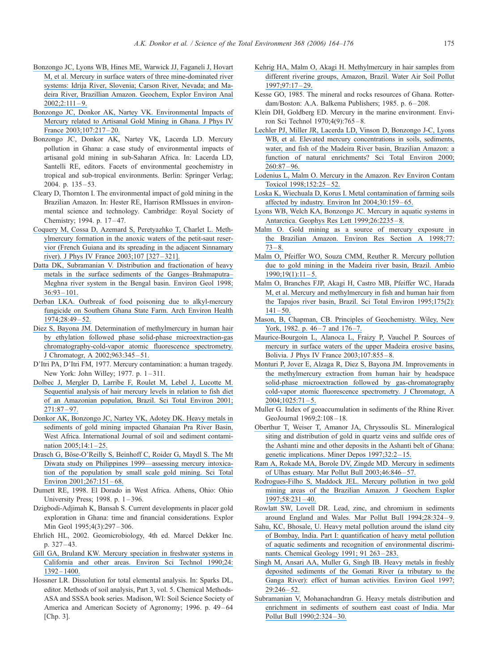- <span id="page-12-0"></span>[Bonzongo JC, Lyons WB, Hines ME, Warwick JJ, Faganeli J, Hovart](https://www.researchgate.net/publication/249545314_Mercury_in_surface_waters_of_three_mine-dominated_river_systems_Idrija_River_Slovenia_Carson_River_Nevada_and_Madeira_River_Brazilian_Amazon?el=1_x_8&enrichId=rgreq-d2a5cd0d3451b477a4744498d9189409-XXX&enrichSource=Y292ZXJQYWdlOzc1MjM5Mzk7QVM6MTg2MzQ1NDIzMTIyNDMzQDE0MjE0Mzk2MTkxMzM=) [M, et al. Mercury in surface waters of three mine-dominated river](https://www.researchgate.net/publication/249545314_Mercury_in_surface_waters_of_three_mine-dominated_river_systems_Idrija_River_Slovenia_Carson_River_Nevada_and_Madeira_River_Brazilian_Amazon?el=1_x_8&enrichId=rgreq-d2a5cd0d3451b477a4744498d9189409-XXX&enrichSource=Y292ZXJQYWdlOzc1MjM5Mzk7QVM6MTg2MzQ1NDIzMTIyNDMzQDE0MjE0Mzk2MTkxMzM=) [systems: Idrija River, Slovenia; Carson River, Nevada; and Ma](https://www.researchgate.net/publication/249545314_Mercury_in_surface_waters_of_three_mine-dominated_river_systems_Idrija_River_Slovenia_Carson_River_Nevada_and_Madeira_River_Brazilian_Amazon?el=1_x_8&enrichId=rgreq-d2a5cd0d3451b477a4744498d9189409-XXX&enrichSource=Y292ZXJQYWdlOzc1MjM5Mzk7QVM6MTg2MzQ1NDIzMTIyNDMzQDE0MjE0Mzk2MTkxMzM=)[deira River, Brazillian Amazon. Geochem, Explor Environ Anal](https://www.researchgate.net/publication/249545314_Mercury_in_surface_waters_of_three_mine-dominated_river_systems_Idrija_River_Slovenia_Carson_River_Nevada_and_Madeira_River_Brazilian_Amazon?el=1_x_8&enrichId=rgreq-d2a5cd0d3451b477a4744498d9189409-XXX&enrichSource=Y292ZXJQYWdlOzc1MjM5Mzk7QVM6MTg2MzQ1NDIzMTIyNDMzQDE0MjE0Mzk2MTkxMzM=)  $2002:2:111 - 9$ .
- [Bonzongo JC, Donkor AK, Nartey VK. Environmental Impacts of](https://www.researchgate.net/publication/253120479_Environmental_impacts_of_mercury_related_to_artisanal_gold_mining_in_Ghana?el=1_x_8&enrichId=rgreq-d2a5cd0d3451b477a4744498d9189409-XXX&enrichSource=Y292ZXJQYWdlOzc1MjM5Mzk7QVM6MTg2MzQ1NDIzMTIyNDMzQDE0MjE0Mzk2MTkxMzM=) [Mercury related to Artisanal Gold Mining in Ghana. J Phys IV](https://www.researchgate.net/publication/253120479_Environmental_impacts_of_mercury_related_to_artisanal_gold_mining_in_Ghana?el=1_x_8&enrichId=rgreq-d2a5cd0d3451b477a4744498d9189409-XXX&enrichSource=Y292ZXJQYWdlOzc1MjM5Mzk7QVM6MTg2MzQ1NDIzMTIyNDMzQDE0MjE0Mzk2MTkxMzM=) [France 2003;107:217 – 20.](https://www.researchgate.net/publication/253120479_Environmental_impacts_of_mercury_related_to_artisanal_gold_mining_in_Ghana?el=1_x_8&enrichId=rgreq-d2a5cd0d3451b477a4744498d9189409-XXX&enrichSource=Y292ZXJQYWdlOzc1MjM5Mzk7QVM6MTg2MzQ1NDIzMTIyNDMzQDE0MjE0Mzk2MTkxMzM=)
- Bonzongo JC, Donkor AK, Nartey VK, Lacerda LD. Mercury pollution in Ghana: a case study of environmental impacts of artisanal gold mining in sub-Saharan Africa. In: Lacerda LD, Santelli RE, editors. Facets of environmental geochemistry in tropical and sub-tropical environments. Berlin: Springer Verlag; 2004. p. 135-53.
- Cleary D, Thornton I. The environmental impact of gold mining in the Brazilian Amazon. In: Hester RE, Harrison RMIssues in environmental science and technology. Cambridge: Royal Society of Chemistry; 1994. p. 17-47.
- [Coquery M, Cossa D, Azemard S, Peretyazhko T, Charlet L. Meth](https://www.researchgate.net/publication/29493989_Methylmercury_formation_in_the_anoxic_waters_of_Petit-Saut_reservoir_French_Guiana_and_its_spreading_in_adjacent_Sinnamary_River?el=1_x_8&enrichId=rgreq-d2a5cd0d3451b477a4744498d9189409-XXX&enrichSource=Y292ZXJQYWdlOzc1MjM5Mzk7QVM6MTg2MzQ1NDIzMTIyNDMzQDE0MjE0Mzk2MTkxMzM=)[ylmercury formation in the anoxic waters of the petit-saut reser](https://www.researchgate.net/publication/29493989_Methylmercury_formation_in_the_anoxic_waters_of_Petit-Saut_reservoir_French_Guiana_and_its_spreading_in_adjacent_Sinnamary_River?el=1_x_8&enrichId=rgreq-d2a5cd0d3451b477a4744498d9189409-XXX&enrichSource=Y292ZXJQYWdlOzc1MjM5Mzk7QVM6MTg2MzQ1NDIzMTIyNDMzQDE0MjE0Mzk2MTkxMzM=)[vior \(French Guiana and its spreading in the adjacent Sinnamary](https://www.researchgate.net/publication/29493989_Methylmercury_formation_in_the_anoxic_waters_of_Petit-Saut_reservoir_French_Guiana_and_its_spreading_in_adjacent_Sinnamary_River?el=1_x_8&enrichId=rgreq-d2a5cd0d3451b477a4744498d9189409-XXX&enrichSource=Y292ZXJQYWdlOzc1MjM5Mzk7QVM6MTg2MzQ1NDIzMTIyNDMzQDE0MjE0Mzk2MTkxMzM=) [river\). J Phys IV France 2003;107 \[327 – 321\].](https://www.researchgate.net/publication/29493989_Methylmercury_formation_in_the_anoxic_waters_of_Petit-Saut_reservoir_French_Guiana_and_its_spreading_in_adjacent_Sinnamary_River?el=1_x_8&enrichId=rgreq-d2a5cd0d3451b477a4744498d9189409-XXX&enrichSource=Y292ZXJQYWdlOzc1MjM5Mzk7QVM6MTg2MzQ1NDIzMTIyNDMzQDE0MjE0Mzk2MTkxMzM=)
- [Datta DK, Subramanian V. Distribution and fractionation of heavy](https://www.researchgate.net/publication/227289917_Distribution_and_fractionation_of_heavy_metals_in_the_surface_sediments_of_the_Ganges-Brahmaputra-Meghna_river_system_in_the_Bengal_basin?el=1_x_8&enrichId=rgreq-d2a5cd0d3451b477a4744498d9189409-XXX&enrichSource=Y292ZXJQYWdlOzc1MjM5Mzk7QVM6MTg2MzQ1NDIzMTIyNDMzQDE0MjE0Mzk2MTkxMzM=) [metals in the surface sediments of the Ganges–Brahmaputra–](https://www.researchgate.net/publication/227289917_Distribution_and_fractionation_of_heavy_metals_in_the_surface_sediments_of_the_Ganges-Brahmaputra-Meghna_river_system_in_the_Bengal_basin?el=1_x_8&enrichId=rgreq-d2a5cd0d3451b477a4744498d9189409-XXX&enrichSource=Y292ZXJQYWdlOzc1MjM5Mzk7QVM6MTg2MzQ1NDIzMTIyNDMzQDE0MjE0Mzk2MTkxMzM=) [Meghna river system in the Bengal basin. Environ Geol 1998;](https://www.researchgate.net/publication/227289917_Distribution_and_fractionation_of_heavy_metals_in_the_surface_sediments_of_the_Ganges-Brahmaputra-Meghna_river_system_in_the_Bengal_basin?el=1_x_8&enrichId=rgreq-d2a5cd0d3451b477a4744498d9189409-XXX&enrichSource=Y292ZXJQYWdlOzc1MjM5Mzk7QVM6MTg2MzQ1NDIzMTIyNDMzQDE0MjE0Mzk2MTkxMzM=) [36:93 – 101.](https://www.researchgate.net/publication/227289917_Distribution_and_fractionation_of_heavy_metals_in_the_surface_sediments_of_the_Ganges-Brahmaputra-Meghna_river_system_in_the_Bengal_basin?el=1_x_8&enrichId=rgreq-d2a5cd0d3451b477a4744498d9189409-XXX&enrichSource=Y292ZXJQYWdlOzc1MjM5Mzk7QVM6MTg2MzQ1NDIzMTIyNDMzQDE0MjE0Mzk2MTkxMzM=)
- [Derban LKA. Outbreak of food poisoning due to alkyl-mercury](https://www.researchgate.net/publication/18580544_Outbreak_of_food_poisoning_due_to_alkyl_mercury_fungicide_On_southern_Ghana_state_farm?el=1_x_8&enrichId=rgreq-d2a5cd0d3451b477a4744498d9189409-XXX&enrichSource=Y292ZXJQYWdlOzc1MjM5Mzk7QVM6MTg2MzQ1NDIzMTIyNDMzQDE0MjE0Mzk2MTkxMzM=) [fungicide on Southern Ghana State Farm. Arch Environ Health](https://www.researchgate.net/publication/18580544_Outbreak_of_food_poisoning_due_to_alkyl_mercury_fungicide_On_southern_Ghana_state_farm?el=1_x_8&enrichId=rgreq-d2a5cd0d3451b477a4744498d9189409-XXX&enrichSource=Y292ZXJQYWdlOzc1MjM5Mzk7QVM6MTg2MzQ1NDIzMTIyNDMzQDE0MjE0Mzk2MTkxMzM=) [1974;28:49 – 52.](https://www.researchgate.net/publication/18580544_Outbreak_of_food_poisoning_due_to_alkyl_mercury_fungicide_On_southern_Ghana_state_farm?el=1_x_8&enrichId=rgreq-d2a5cd0d3451b477a4744498d9189409-XXX&enrichSource=Y292ZXJQYWdlOzc1MjM5Mzk7QVM6MTg2MzQ1NDIzMTIyNDMzQDE0MjE0Mzk2MTkxMzM=)
- [Diez S, Bayona JM. Determination of methylmercury in human hair](https://www.researchgate.net/publication/11199604_Determination_of_methylmercury_in_human_hair_by_ethylation_followed_by_headspace_solid-phase_microextraction-gas_chromatography-cold-vapour_atomic_fluorescence_spectrometry?el=1_x_8&enrichId=rgreq-d2a5cd0d3451b477a4744498d9189409-XXX&enrichSource=Y292ZXJQYWdlOzc1MjM5Mzk7QVM6MTg2MzQ1NDIzMTIyNDMzQDE0MjE0Mzk2MTkxMzM=) [by ethylation followed phase solid-phase microextraction-gas](https://www.researchgate.net/publication/11199604_Determination_of_methylmercury_in_human_hair_by_ethylation_followed_by_headspace_solid-phase_microextraction-gas_chromatography-cold-vapour_atomic_fluorescence_spectrometry?el=1_x_8&enrichId=rgreq-d2a5cd0d3451b477a4744498d9189409-XXX&enrichSource=Y292ZXJQYWdlOzc1MjM5Mzk7QVM6MTg2MzQ1NDIzMTIyNDMzQDE0MjE0Mzk2MTkxMzM=) [chromatography-cold-vapor atomic fluorescence spectrometry.](https://www.researchgate.net/publication/11199604_Determination_of_methylmercury_in_human_hair_by_ethylation_followed_by_headspace_solid-phase_microextraction-gas_chromatography-cold-vapour_atomic_fluorescence_spectrometry?el=1_x_8&enrichId=rgreq-d2a5cd0d3451b477a4744498d9189409-XXX&enrichSource=Y292ZXJQYWdlOzc1MjM5Mzk7QVM6MTg2MzQ1NDIzMTIyNDMzQDE0MjE0Mzk2MTkxMzM=) [J Chromatogr, A 2002;963:345 – 51.](https://www.researchgate.net/publication/11199604_Determination_of_methylmercury_in_human_hair_by_ethylation_followed_by_headspace_solid-phase_microextraction-gas_chromatography-cold-vapour_atomic_fluorescence_spectrometry?el=1_x_8&enrichId=rgreq-d2a5cd0d3451b477a4744498d9189409-XXX&enrichSource=Y292ZXJQYWdlOzc1MjM5Mzk7QVM6MTg2MzQ1NDIzMTIyNDMzQDE0MjE0Mzk2MTkxMzM=)
- D'Itri PA, D'Itri FM, 1977. Mercury contamination: a human tragedy. New York: John Willey; 1977. p.  $1 - 311$ .
- [Dolbec J, Mergler D, Larribe F, Roulet M, Lebel J, Lucotte M.](https://www.researchgate.net/publication/11991534_Sequential_analysis_of_hair_mercury_levels_in_relation_to_fish_diet_of_an_Amazonian_population_Brazil?el=1_x_8&enrichId=rgreq-d2a5cd0d3451b477a4744498d9189409-XXX&enrichSource=Y292ZXJQYWdlOzc1MjM5Mzk7QVM6MTg2MzQ1NDIzMTIyNDMzQDE0MjE0Mzk2MTkxMzM=) [Sequential analysis of hair mercury levels in relation to fish diet](https://www.researchgate.net/publication/11991534_Sequential_analysis_of_hair_mercury_levels_in_relation_to_fish_diet_of_an_Amazonian_population_Brazil?el=1_x_8&enrichId=rgreq-d2a5cd0d3451b477a4744498d9189409-XXX&enrichSource=Y292ZXJQYWdlOzc1MjM5Mzk7QVM6MTg2MzQ1NDIzMTIyNDMzQDE0MjE0Mzk2MTkxMzM=) [of an Amazonian population, Brazil. Sci Total Environ 2001;](https://www.researchgate.net/publication/11991534_Sequential_analysis_of_hair_mercury_levels_in_relation_to_fish_diet_of_an_Amazonian_population_Brazil?el=1_x_8&enrichId=rgreq-d2a5cd0d3451b477a4744498d9189409-XXX&enrichSource=Y292ZXJQYWdlOzc1MjM5Mzk7QVM6MTg2MzQ1NDIzMTIyNDMzQDE0MjE0Mzk2MTkxMzM=) [271:87 – 97.](https://www.researchgate.net/publication/11991534_Sequential_analysis_of_hair_mercury_levels_in_relation_to_fish_diet_of_an_Amazonian_population_Brazil?el=1_x_8&enrichId=rgreq-d2a5cd0d3451b477a4744498d9189409-XXX&enrichSource=Y292ZXJQYWdlOzc1MjM5Mzk7QVM6MTg2MzQ1NDIzMTIyNDMzQDE0MjE0Mzk2MTkxMzM=)
- [Donkor AK, Bonzongo JC, Nartey VK, Adotey DK. Heavy metals in](https://www.researchgate.net/publication/232820133_Heavy_Metals_in_Sediments_of_the_Gold_Mining_Impacted_Pra_River_Basin_Ghana_West_Africa?el=1_x_8&enrichId=rgreq-d2a5cd0d3451b477a4744498d9189409-XXX&enrichSource=Y292ZXJQYWdlOzc1MjM5Mzk7QVM6MTg2MzQ1NDIzMTIyNDMzQDE0MjE0Mzk2MTkxMzM=) [sediments of gold mining impacted Ghanaian Pra River Basin,](https://www.researchgate.net/publication/232820133_Heavy_Metals_in_Sediments_of_the_Gold_Mining_Impacted_Pra_River_Basin_Ghana_West_Africa?el=1_x_8&enrichId=rgreq-d2a5cd0d3451b477a4744498d9189409-XXX&enrichSource=Y292ZXJQYWdlOzc1MjM5Mzk7QVM6MTg2MzQ1NDIzMTIyNDMzQDE0MjE0Mzk2MTkxMzM=) [West Africa. International Journal of soil and sediment contami](https://www.researchgate.net/publication/232820133_Heavy_Metals_in_Sediments_of_the_Gold_Mining_Impacted_Pra_River_Basin_Ghana_West_Africa?el=1_x_8&enrichId=rgreq-d2a5cd0d3451b477a4744498d9189409-XXX&enrichSource=Y292ZXJQYWdlOzc1MjM5Mzk7QVM6MTg2MzQ1NDIzMTIyNDMzQDE0MjE0Mzk2MTkxMzM=)nation 2005;14:1-25.
- Drasch G, Böse-O'Reilly S, Beinhoff C, Roider G, Maydl S. The Mt [Diwata study on Philippines 1999—assessing mercury intoxica](https://www.researchgate.net/publication/12048021_The_Mt_Diwata_study_on_the_Philippines_1999_-_Assessing_mercury_intoxication_of_the_population_by_small_scale_gold_mining?el=1_x_8&enrichId=rgreq-d2a5cd0d3451b477a4744498d9189409-XXX&enrichSource=Y292ZXJQYWdlOzc1MjM5Mzk7QVM6MTg2MzQ1NDIzMTIyNDMzQDE0MjE0Mzk2MTkxMzM=)[tion of the population by small scale gold mining. Sci Total](https://www.researchgate.net/publication/12048021_The_Mt_Diwata_study_on_the_Philippines_1999_-_Assessing_mercury_intoxication_of_the_population_by_small_scale_gold_mining?el=1_x_8&enrichId=rgreq-d2a5cd0d3451b477a4744498d9189409-XXX&enrichSource=Y292ZXJQYWdlOzc1MjM5Mzk7QVM6MTg2MzQ1NDIzMTIyNDMzQDE0MjE0Mzk2MTkxMzM=) [Environ 2001;267:151 – 68.](https://www.researchgate.net/publication/12048021_The_Mt_Diwata_study_on_the_Philippines_1999_-_Assessing_mercury_intoxication_of_the_population_by_small_scale_gold_mining?el=1_x_8&enrichId=rgreq-d2a5cd0d3451b477a4744498d9189409-XXX&enrichSource=Y292ZXJQYWdlOzc1MjM5Mzk7QVM6MTg2MzQ1NDIzMTIyNDMzQDE0MjE0Mzk2MTkxMzM=)
- Dumett RE, 1998. El Dorado in West Africa. Athens, Ohio: Ohio University Press; 1998. p. 1-396.
- Dzigbodi-Adjimah K, Bansah S. Current developments in placer gold exploration in Ghana: time and financial considerations. Explor Min Geol 1995;4(3):297-306.
- Ehrlich HL, 2002. Geomicrobiology, 4th ed. Marcel Dekker Inc. p. 327 – 43.
- [Gill GA, Bruland KW. Mercury speciation in freshwater systems in](https://www.researchgate.net/publication/231276870_Mercury_Speciation_in_Surface_Freshwater_Systems_in_California_and_Other_Areas?el=1_x_8&enrichId=rgreq-d2a5cd0d3451b477a4744498d9189409-XXX&enrichSource=Y292ZXJQYWdlOzc1MjM5Mzk7QVM6MTg2MzQ1NDIzMTIyNDMzQDE0MjE0Mzk2MTkxMzM=) [California and other areas. Environ Sci Technol 1990;24:](https://www.researchgate.net/publication/231276870_Mercury_Speciation_in_Surface_Freshwater_Systems_in_California_and_Other_Areas?el=1_x_8&enrichId=rgreq-d2a5cd0d3451b477a4744498d9189409-XXX&enrichSource=Y292ZXJQYWdlOzc1MjM5Mzk7QVM6MTg2MzQ1NDIzMTIyNDMzQDE0MjE0Mzk2MTkxMzM=) [1392 – 1400.](https://www.researchgate.net/publication/231276870_Mercury_Speciation_in_Surface_Freshwater_Systems_in_California_and_Other_Areas?el=1_x_8&enrichId=rgreq-d2a5cd0d3451b477a4744498d9189409-XXX&enrichSource=Y292ZXJQYWdlOzc1MjM5Mzk7QVM6MTg2MzQ1NDIzMTIyNDMzQDE0MjE0Mzk2MTkxMzM=)
- Hossner LR. Dissolution for total elemental analysis. In: Sparks DL, editor. Methods of soil analysis, Part 3, vol. 5. Chemical Methods-ASA and SSSA book series. Madison, WI: Soil Science Society of America and American Society of Agronomy; 1996. p. 49-64 [Chp. 3].
- [Kehrig HA, Malm O, Akagi H. Methylmercury in hair samples from](https://www.researchgate.net/publication/225947089_Methylmercury_in_hair_samples_from_different_riverine_groups_Amazon_Brazil?el=1_x_8&enrichId=rgreq-d2a5cd0d3451b477a4744498d9189409-XXX&enrichSource=Y292ZXJQYWdlOzc1MjM5Mzk7QVM6MTg2MzQ1NDIzMTIyNDMzQDE0MjE0Mzk2MTkxMzM=) [different riverine groups, Amazon, Brazil. Water Air Soil Pollut](https://www.researchgate.net/publication/225947089_Methylmercury_in_hair_samples_from_different_riverine_groups_Amazon_Brazil?el=1_x_8&enrichId=rgreq-d2a5cd0d3451b477a4744498d9189409-XXX&enrichSource=Y292ZXJQYWdlOzc1MjM5Mzk7QVM6MTg2MzQ1NDIzMTIyNDMzQDE0MjE0Mzk2MTkxMzM=)  $1997.97.17 - 29$
- Kesse GO, 1985. The mineral and rocks resources of Ghana. Rotterdam/Boston: A.A. Balkema Publishers; 1985. p. 6-208.
- Klein DH, Goldberg ED. Mercury in the marine environment. Environ Sci Technol 1970;4(9):765 – 8.
- [Lechler PJ, Miller JR, Lacerda LD, Vinson D, Bonzongo J-C, Lyons](https://www.researchgate.net/publication/12292501_Elevated_mercury_concentrations_in_soils_sediments_water_and_fish_of_the_Madeira_River_basin_Brazilian_Amazon_A_function_of_natural_enrichments?el=1_x_8&enrichId=rgreq-d2a5cd0d3451b477a4744498d9189409-XXX&enrichSource=Y292ZXJQYWdlOzc1MjM5Mzk7QVM6MTg2MzQ1NDIzMTIyNDMzQDE0MjE0Mzk2MTkxMzM=) [WB, et al. Elevated mercury concentrations in soils, sediments,](https://www.researchgate.net/publication/12292501_Elevated_mercury_concentrations_in_soils_sediments_water_and_fish_of_the_Madeira_River_basin_Brazilian_Amazon_A_function_of_natural_enrichments?el=1_x_8&enrichId=rgreq-d2a5cd0d3451b477a4744498d9189409-XXX&enrichSource=Y292ZXJQYWdlOzc1MjM5Mzk7QVM6MTg2MzQ1NDIzMTIyNDMzQDE0MjE0Mzk2MTkxMzM=) [water, and fish of the Madeira River basin, Brazilian Amazon: a](https://www.researchgate.net/publication/12292501_Elevated_mercury_concentrations_in_soils_sediments_water_and_fish_of_the_Madeira_River_basin_Brazilian_Amazon_A_function_of_natural_enrichments?el=1_x_8&enrichId=rgreq-d2a5cd0d3451b477a4744498d9189409-XXX&enrichSource=Y292ZXJQYWdlOzc1MjM5Mzk7QVM6MTg2MzQ1NDIzMTIyNDMzQDE0MjE0Mzk2MTkxMzM=) [function of natural enrichments? Sci Total Environ 2000;](https://www.researchgate.net/publication/12292501_Elevated_mercury_concentrations_in_soils_sediments_water_and_fish_of_the_Madeira_River_basin_Brazilian_Amazon_A_function_of_natural_enrichments?el=1_x_8&enrichId=rgreq-d2a5cd0d3451b477a4744498d9189409-XXX&enrichSource=Y292ZXJQYWdlOzc1MjM5Mzk7QVM6MTg2MzQ1NDIzMTIyNDMzQDE0MjE0Mzk2MTkxMzM=) [260:87 – 96.](https://www.researchgate.net/publication/12292501_Elevated_mercury_concentrations_in_soils_sediments_water_and_fish_of_the_Madeira_River_basin_Brazilian_Amazon_A_function_of_natural_enrichments?el=1_x_8&enrichId=rgreq-d2a5cd0d3451b477a4744498d9189409-XXX&enrichSource=Y292ZXJQYWdlOzc1MjM5Mzk7QVM6MTg2MzQ1NDIzMTIyNDMzQDE0MjE0Mzk2MTkxMzM=)
- [Lodenius L, Malm O. Mercury in the Amazon. Rev Environ Contam](https://www.researchgate.net/publication/13617675_Mercury_in_the_Amazon?el=1_x_8&enrichId=rgreq-d2a5cd0d3451b477a4744498d9189409-XXX&enrichSource=Y292ZXJQYWdlOzc1MjM5Mzk7QVM6MTg2MzQ1NDIzMTIyNDMzQDE0MjE0Mzk2MTkxMzM=) [Toxicol 1998;152:25 – 52.](https://www.researchgate.net/publication/13617675_Mercury_in_the_Amazon?el=1_x_8&enrichId=rgreq-d2a5cd0d3451b477a4744498d9189409-XXX&enrichSource=Y292ZXJQYWdlOzc1MjM5Mzk7QVM6MTg2MzQ1NDIzMTIyNDMzQDE0MjE0Mzk2MTkxMzM=)
- [Loska K, Wiechuala D, Korus I. Metal contamination of farming soils](https://www.researchgate.net/publication/8898315_Metal_Contamination_of_Farming_Soils_Affected_by_Industry?el=1_x_8&enrichId=rgreq-d2a5cd0d3451b477a4744498d9189409-XXX&enrichSource=Y292ZXJQYWdlOzc1MjM5Mzk7QVM6MTg2MzQ1NDIzMTIyNDMzQDE0MjE0Mzk2MTkxMzM=) [affected by industry. Environ Int 2004;30:159 – 65.](https://www.researchgate.net/publication/8898315_Metal_Contamination_of_Farming_Soils_Affected_by_Industry?el=1_x_8&enrichId=rgreq-d2a5cd0d3451b477a4744498d9189409-XXX&enrichSource=Y292ZXJQYWdlOzc1MjM5Mzk7QVM6MTg2MzQ1NDIzMTIyNDMzQDE0MjE0Mzk2MTkxMzM=)
- [Lyons WB, Welch KA, Bonzongo JC. Mercury in aquatic systems in](https://www.researchgate.net/publication/240490363_Mercury_in_aquatic_systems_in_Antarctica?el=1_x_8&enrichId=rgreq-d2a5cd0d3451b477a4744498d9189409-XXX&enrichSource=Y292ZXJQYWdlOzc1MjM5Mzk7QVM6MTg2MzQ1NDIzMTIyNDMzQDE0MjE0Mzk2MTkxMzM=) [Antarctica. Geophys Res Lett 1999;26:2235 – 8.](https://www.researchgate.net/publication/240490363_Mercury_in_aquatic_systems_in_Antarctica?el=1_x_8&enrichId=rgreq-d2a5cd0d3451b477a4744498d9189409-XXX&enrichSource=Y292ZXJQYWdlOzc1MjM5Mzk7QVM6MTg2MzQ1NDIzMTIyNDMzQDE0MjE0Mzk2MTkxMzM=)
- [Malm O. Gold mining as a source of mercury exposure in](https://www.researchgate.net/publication/13682991_Gold_Mining_as_a_Source_of_Mercury_Exposure_in_the_Brazilian_Amazon_Environmental_Research_Section_A_77_73-78?el=1_x_8&enrichId=rgreq-d2a5cd0d3451b477a4744498d9189409-XXX&enrichSource=Y292ZXJQYWdlOzc1MjM5Mzk7QVM6MTg2MzQ1NDIzMTIyNDMzQDE0MjE0Mzk2MTkxMzM=) [the Brazilian Amazon. Environ Res Section A 1998;77:](https://www.researchgate.net/publication/13682991_Gold_Mining_as_a_Source_of_Mercury_Exposure_in_the_Brazilian_Amazon_Environmental_Research_Section_A_77_73-78?el=1_x_8&enrichId=rgreq-d2a5cd0d3451b477a4744498d9189409-XXX&enrichSource=Y292ZXJQYWdlOzc1MjM5Mzk7QVM6MTg2MzQ1NDIzMTIyNDMzQDE0MjE0Mzk2MTkxMzM=)  $73 - 8.$
- [Malm O, Pfeiffer WO, Souza CMM, Reuther R. Mercury pollution](https://www.researchgate.net/publication/279893040_Mercury_pollution_due_to_gold_mining_in_the_Madeira_River_Basin_Brazil?el=1_x_8&enrichId=rgreq-d2a5cd0d3451b477a4744498d9189409-XXX&enrichSource=Y292ZXJQYWdlOzc1MjM5Mzk7QVM6MTg2MzQ1NDIzMTIyNDMzQDE0MjE0Mzk2MTkxMzM=) [due to gold mining in the Madeira river basin, Brazil. Ambio](https://www.researchgate.net/publication/279893040_Mercury_pollution_due_to_gold_mining_in_the_Madeira_River_Basin_Brazil?el=1_x_8&enrichId=rgreq-d2a5cd0d3451b477a4744498d9189409-XXX&enrichSource=Y292ZXJQYWdlOzc1MjM5Mzk7QVM6MTg2MzQ1NDIzMTIyNDMzQDE0MjE0Mzk2MTkxMzM=)  $1990;19(1):11-5$ .
- [Malm O, Branches FJP, Akagi H, Castro MB, Pfeiffer WC, Harada](https://www.researchgate.net/publication/14640768_Mercury_and_methylmercury_in_fish_and_human_hair_from_the_Tapajos_river_basin_Brazil?el=1_x_8&enrichId=rgreq-d2a5cd0d3451b477a4744498d9189409-XXX&enrichSource=Y292ZXJQYWdlOzc1MjM5Mzk7QVM6MTg2MzQ1NDIzMTIyNDMzQDE0MjE0Mzk2MTkxMzM=) [M, et al. Mercury and methylmercury in fish and human hair from](https://www.researchgate.net/publication/14640768_Mercury_and_methylmercury_in_fish_and_human_hair_from_the_Tapajos_river_basin_Brazil?el=1_x_8&enrichId=rgreq-d2a5cd0d3451b477a4744498d9189409-XXX&enrichSource=Y292ZXJQYWdlOzc1MjM5Mzk7QVM6MTg2MzQ1NDIzMTIyNDMzQDE0MjE0Mzk2MTkxMzM=) [the Tapajos river basin, Brazil. Sci Total Environ 1995;175\(2\):](https://www.researchgate.net/publication/14640768_Mercury_and_methylmercury_in_fish_and_human_hair_from_the_Tapajos_river_basin_Brazil?el=1_x_8&enrichId=rgreq-d2a5cd0d3451b477a4744498d9189409-XXX&enrichSource=Y292ZXJQYWdlOzc1MjM5Mzk7QVM6MTg2MzQ1NDIzMTIyNDMzQDE0MjE0Mzk2MTkxMzM=)  $141 - 50.$
- [Mason, B, Chapman, CB. Principles of Geochemistry. Wiley, New](https://www.researchgate.net/publication/232169948_Principles_of_Geochemistry?el=1_x_8&enrichId=rgreq-d2a5cd0d3451b477a4744498d9189409-XXX&enrichSource=Y292ZXJQYWdlOzc1MjM5Mzk7QVM6MTg2MzQ1NDIzMTIyNDMzQDE0MjE0Mzk2MTkxMzM=) York, 1982. p. 46-7 and 176-7.
- [Maurice-Bourgoin L, Alanoca L, Fraizy P, Vauchel P. Sources of](https://www.researchgate.net/publication/253702853_Sources_of_mercury_in_surface_waters_of_the_Upper_Madeira_erosive_basins_Bolivia?el=1_x_8&enrichId=rgreq-d2a5cd0d3451b477a4744498d9189409-XXX&enrichSource=Y292ZXJQYWdlOzc1MjM5Mzk7QVM6MTg2MzQ1NDIzMTIyNDMzQDE0MjE0Mzk2MTkxMzM=) [mercury in surface waters of the upper Madeira erosive basins,](https://www.researchgate.net/publication/253702853_Sources_of_mercury_in_surface_waters_of_the_Upper_Madeira_erosive_basins_Bolivia?el=1_x_8&enrichId=rgreq-d2a5cd0d3451b477a4744498d9189409-XXX&enrichSource=Y292ZXJQYWdlOzc1MjM5Mzk7QVM6MTg2MzQ1NDIzMTIyNDMzQDE0MjE0Mzk2MTkxMzM=) [Bolivia. J Phys IV France 2003;107:855 – 8.](https://www.researchgate.net/publication/253702853_Sources_of_mercury_in_surface_waters_of_the_Upper_Madeira_erosive_basins_Bolivia?el=1_x_8&enrichId=rgreq-d2a5cd0d3451b477a4744498d9189409-XXX&enrichSource=Y292ZXJQYWdlOzc1MjM5Mzk7QVM6MTg2MzQ1NDIzMTIyNDMzQDE0MjE0Mzk2MTkxMzM=)
- [Monturi P, Jover E, Alzaga R, Diez S, Bayona JM. Improvements in](https://www.researchgate.net/publication/8893547_Improvements_in_the_methylmercury_extraction_from_human_hair_by_headspace_solid-phase_microextraction_followed_by_gas-chromatography_cold-vapour_atomic_fluorescence_spectrometry?el=1_x_8&enrichId=rgreq-d2a5cd0d3451b477a4744498d9189409-XXX&enrichSource=Y292ZXJQYWdlOzc1MjM5Mzk7QVM6MTg2MzQ1NDIzMTIyNDMzQDE0MjE0Mzk2MTkxMzM=) [the methylmercury extraction from human hair by headspace](https://www.researchgate.net/publication/8893547_Improvements_in_the_methylmercury_extraction_from_human_hair_by_headspace_solid-phase_microextraction_followed_by_gas-chromatography_cold-vapour_atomic_fluorescence_spectrometry?el=1_x_8&enrichId=rgreq-d2a5cd0d3451b477a4744498d9189409-XXX&enrichSource=Y292ZXJQYWdlOzc1MjM5Mzk7QVM6MTg2MzQ1NDIzMTIyNDMzQDE0MjE0Mzk2MTkxMzM=) [solid-phase microextraction followed by gas-chromatography](https://www.researchgate.net/publication/8893547_Improvements_in_the_methylmercury_extraction_from_human_hair_by_headspace_solid-phase_microextraction_followed_by_gas-chromatography_cold-vapour_atomic_fluorescence_spectrometry?el=1_x_8&enrichId=rgreq-d2a5cd0d3451b477a4744498d9189409-XXX&enrichSource=Y292ZXJQYWdlOzc1MjM5Mzk7QVM6MTg2MzQ1NDIzMTIyNDMzQDE0MjE0Mzk2MTkxMzM=) [cold-vapor atomic fluorescence spectrometry. J Chromatogr, A](https://www.researchgate.net/publication/8893547_Improvements_in_the_methylmercury_extraction_from_human_hair_by_headspace_solid-phase_microextraction_followed_by_gas-chromatography_cold-vapour_atomic_fluorescence_spectrometry?el=1_x_8&enrichId=rgreq-d2a5cd0d3451b477a4744498d9189409-XXX&enrichSource=Y292ZXJQYWdlOzc1MjM5Mzk7QVM6MTg2MzQ1NDIzMTIyNDMzQDE0MjE0Mzk2MTkxMzM=)  $2004;1025:71-5.$
- Muller G. Index of geoaccumulation in sediments of the Rhine River. GeoJournal 1969;2:108 – 18.
- [Oberthur T, Weiser T, Amanor JA, Chryssoulis SL. Mineralogical](https://www.researchgate.net/publication/225624693_Mineralogical_siting_and_distribution_of_gold_in_quartz_veins_and_sulfide_ores_of_the_Ashanti_mine_and_other_deposits_in_the_Ashanti_belt_of_Ghana_Genetic_implications?el=1_x_8&enrichId=rgreq-d2a5cd0d3451b477a4744498d9189409-XXX&enrichSource=Y292ZXJQYWdlOzc1MjM5Mzk7QVM6MTg2MzQ1NDIzMTIyNDMzQDE0MjE0Mzk2MTkxMzM=) [siting and distribution of gold in quartz veins and sulfide ores of](https://www.researchgate.net/publication/225624693_Mineralogical_siting_and_distribution_of_gold_in_quartz_veins_and_sulfide_ores_of_the_Ashanti_mine_and_other_deposits_in_the_Ashanti_belt_of_Ghana_Genetic_implications?el=1_x_8&enrichId=rgreq-d2a5cd0d3451b477a4744498d9189409-XXX&enrichSource=Y292ZXJQYWdlOzc1MjM5Mzk7QVM6MTg2MzQ1NDIzMTIyNDMzQDE0MjE0Mzk2MTkxMzM=) [the Ashanti mine and other deposits in the Ashanti belt of Ghana:](https://www.researchgate.net/publication/225624693_Mineralogical_siting_and_distribution_of_gold_in_quartz_veins_and_sulfide_ores_of_the_Ashanti_mine_and_other_deposits_in_the_Ashanti_belt_of_Ghana_Genetic_implications?el=1_x_8&enrichId=rgreq-d2a5cd0d3451b477a4744498d9189409-XXX&enrichSource=Y292ZXJQYWdlOzc1MjM5Mzk7QVM6MTg2MzQ1NDIzMTIyNDMzQDE0MjE0Mzk2MTkxMzM=) genetic implications. Miner Depos 1997;32:2-15.
- [Ram A, Rokade MA, Borole DV, Zingde MD. Mercury in sediments](https://www.researchgate.net/publication/10682055_Mercury_in_sediments_of_Ulhas_estuary?el=1_x_8&enrichId=rgreq-d2a5cd0d3451b477a4744498d9189409-XXX&enrichSource=Y292ZXJQYWdlOzc1MjM5Mzk7QVM6MTg2MzQ1NDIzMTIyNDMzQDE0MjE0Mzk2MTkxMzM=) [of Ulhas estuary. Mar Pollut Bull 2003;46:846 – 57.](https://www.researchgate.net/publication/10682055_Mercury_in_sediments_of_Ulhas_estuary?el=1_x_8&enrichId=rgreq-d2a5cd0d3451b477a4744498d9189409-XXX&enrichSource=Y292ZXJQYWdlOzc1MjM5Mzk7QVM6MTg2MzQ1NDIzMTIyNDMzQDE0MjE0Mzk2MTkxMzM=)
- [Rodrogues-Filho S, Maddock JEL. Mercury pollution in two gold](https://www.researchgate.net/publication/229375854_Mercury_pollution_in_two_gold_mining_areas_of_the_Brazilian_Amazon?el=1_x_8&enrichId=rgreq-d2a5cd0d3451b477a4744498d9189409-XXX&enrichSource=Y292ZXJQYWdlOzc1MjM5Mzk7QVM6MTg2MzQ1NDIzMTIyNDMzQDE0MjE0Mzk2MTkxMzM=) [mining areas of the Brazilian Amazon. J Geochem Explor](https://www.researchgate.net/publication/229375854_Mercury_pollution_in_two_gold_mining_areas_of_the_Brazilian_Amazon?el=1_x_8&enrichId=rgreq-d2a5cd0d3451b477a4744498d9189409-XXX&enrichSource=Y292ZXJQYWdlOzc1MjM5Mzk7QVM6MTg2MzQ1NDIzMTIyNDMzQDE0MjE0Mzk2MTkxMzM=) [1997;58:231 – 40.](https://www.researchgate.net/publication/229375854_Mercury_pollution_in_two_gold_mining_areas_of_the_Brazilian_Amazon?el=1_x_8&enrichId=rgreq-d2a5cd0d3451b477a4744498d9189409-XXX&enrichSource=Y292ZXJQYWdlOzc1MjM5Mzk7QVM6MTg2MzQ1NDIzMTIyNDMzQDE0MjE0Mzk2MTkxMzM=)
- [Rowlatt SW, Lovell DR. Lead, zinc, and chromium in sediments](https://www.researchgate.net/publication/222741214_Lead_zinc_and_chromium_in_sediments_around_England_and_Wales?el=1_x_8&enrichId=rgreq-d2a5cd0d3451b477a4744498d9189409-XXX&enrichSource=Y292ZXJQYWdlOzc1MjM5Mzk7QVM6MTg2MzQ1NDIzMTIyNDMzQDE0MjE0Mzk2MTkxMzM=) [around England and Wales. Mar Pollut Bull 1994;28:324 – 9.](https://www.researchgate.net/publication/222741214_Lead_zinc_and_chromium_in_sediments_around_England_and_Wales?el=1_x_8&enrichId=rgreq-d2a5cd0d3451b477a4744498d9189409-XXX&enrichSource=Y292ZXJQYWdlOzc1MjM5Mzk7QVM6MTg2MzQ1NDIzMTIyNDMzQDE0MjE0Mzk2MTkxMzM=)
- [Sahu, KC, Bhosale, U. Heavy metal pollution around the island city](https://www.researchgate.net/publication/222875216_Heavy_metal_pollution_around_the_island_city_of_Bombay_India_Part_I_quantification_of_heavy_metal_pollution_of_aquatic_sediments_and_recognition_of_environmental_discriminants?el=1_x_8&enrichId=rgreq-d2a5cd0d3451b477a4744498d9189409-XXX&enrichSource=Y292ZXJQYWdlOzc1MjM5Mzk7QVM6MTg2MzQ1NDIzMTIyNDMzQDE0MjE0Mzk2MTkxMzM=) [of Bombay, India. Part I: quantification of heavy metal pollution](https://www.researchgate.net/publication/222875216_Heavy_metal_pollution_around_the_island_city_of_Bombay_India_Part_I_quantification_of_heavy_metal_pollution_of_aquatic_sediments_and_recognition_of_environmental_discriminants?el=1_x_8&enrichId=rgreq-d2a5cd0d3451b477a4744498d9189409-XXX&enrichSource=Y292ZXJQYWdlOzc1MjM5Mzk7QVM6MTg2MzQ1NDIzMTIyNDMzQDE0MjE0Mzk2MTkxMzM=) [of aquatic sediments and recognition of environmental discrimi](https://www.researchgate.net/publication/222875216_Heavy_metal_pollution_around_the_island_city_of_Bombay_India_Part_I_quantification_of_heavy_metal_pollution_of_aquatic_sediments_and_recognition_of_environmental_discriminants?el=1_x_8&enrichId=rgreq-d2a5cd0d3451b477a4744498d9189409-XXX&enrichSource=Y292ZXJQYWdlOzc1MjM5Mzk7QVM6MTg2MzQ1NDIzMTIyNDMzQDE0MjE0Mzk2MTkxMzM=)[nants. Chemical Geology 1991; 91 263 – 283.](https://www.researchgate.net/publication/222875216_Heavy_metal_pollution_around_the_island_city_of_Bombay_India_Part_I_quantification_of_heavy_metal_pollution_of_aquatic_sediments_and_recognition_of_environmental_discriminants?el=1_x_8&enrichId=rgreq-d2a5cd0d3451b477a4744498d9189409-XXX&enrichSource=Y292ZXJQYWdlOzc1MjM5Mzk7QVM6MTg2MzQ1NDIzMTIyNDMzQDE0MjE0Mzk2MTkxMzM=)
- [Singh M, Ansari AA, Muller G, Singh IB. Heavy metals in freshly](https://www.researchgate.net/publication/226111309_Heavy_Metals_in_Freshly_Deposited_Sediments_of_the_Gomati_River_a_Tributary_of_the_Ganga_River_Effects_of_Human_Activities?el=1_x_8&enrichId=rgreq-d2a5cd0d3451b477a4744498d9189409-XXX&enrichSource=Y292ZXJQYWdlOzc1MjM5Mzk7QVM6MTg2MzQ1NDIzMTIyNDMzQDE0MjE0Mzk2MTkxMzM=) [deposited sediments of the Gomati River \(a tributary to the](https://www.researchgate.net/publication/226111309_Heavy_Metals_in_Freshly_Deposited_Sediments_of_the_Gomati_River_a_Tributary_of_the_Ganga_River_Effects_of_Human_Activities?el=1_x_8&enrichId=rgreq-d2a5cd0d3451b477a4744498d9189409-XXX&enrichSource=Y292ZXJQYWdlOzc1MjM5Mzk7QVM6MTg2MzQ1NDIzMTIyNDMzQDE0MjE0Mzk2MTkxMzM=) [Ganga River\): effect of human activities. Environ Geol 1997;](https://www.researchgate.net/publication/226111309_Heavy_Metals_in_Freshly_Deposited_Sediments_of_the_Gomati_River_a_Tributary_of_the_Ganga_River_Effects_of_Human_Activities?el=1_x_8&enrichId=rgreq-d2a5cd0d3451b477a4744498d9189409-XXX&enrichSource=Y292ZXJQYWdlOzc1MjM5Mzk7QVM6MTg2MzQ1NDIzMTIyNDMzQDE0MjE0Mzk2MTkxMzM=) [29:246 – 52.](https://www.researchgate.net/publication/226111309_Heavy_Metals_in_Freshly_Deposited_Sediments_of_the_Gomati_River_a_Tributary_of_the_Ganga_River_Effects_of_Human_Activities?el=1_x_8&enrichId=rgreq-d2a5cd0d3451b477a4744498d9189409-XXX&enrichSource=Y292ZXJQYWdlOzc1MjM5Mzk7QVM6MTg2MzQ1NDIzMTIyNDMzQDE0MjE0Mzk2MTkxMzM=)
- [Subramanian V, Mohanachandran G. Heavy metals distribution and](https://www.researchgate.net/publication/240420658_Heavy_metals_distribution_and_enrichment_in_the_sediments_of_southern_east_coast_of_India?el=1_x_8&enrichId=rgreq-d2a5cd0d3451b477a4744498d9189409-XXX&enrichSource=Y292ZXJQYWdlOzc1MjM5Mzk7QVM6MTg2MzQ1NDIzMTIyNDMzQDE0MjE0Mzk2MTkxMzM=) [enrichment in sediments of southern east coast of India. Mar](https://www.researchgate.net/publication/240420658_Heavy_metals_distribution_and_enrichment_in_the_sediments_of_southern_east_coast_of_India?el=1_x_8&enrichId=rgreq-d2a5cd0d3451b477a4744498d9189409-XXX&enrichSource=Y292ZXJQYWdlOzc1MjM5Mzk7QVM6MTg2MzQ1NDIzMTIyNDMzQDE0MjE0Mzk2MTkxMzM=) [Pollut Bull 1990;2:324 – 30.](https://www.researchgate.net/publication/240420658_Heavy_metals_distribution_and_enrichment_in_the_sediments_of_southern_east_coast_of_India?el=1_x_8&enrichId=rgreq-d2a5cd0d3451b477a4744498d9189409-XXX&enrichSource=Y292ZXJQYWdlOzc1MjM5Mzk7QVM6MTg2MzQ1NDIzMTIyNDMzQDE0MjE0Mzk2MTkxMzM=)